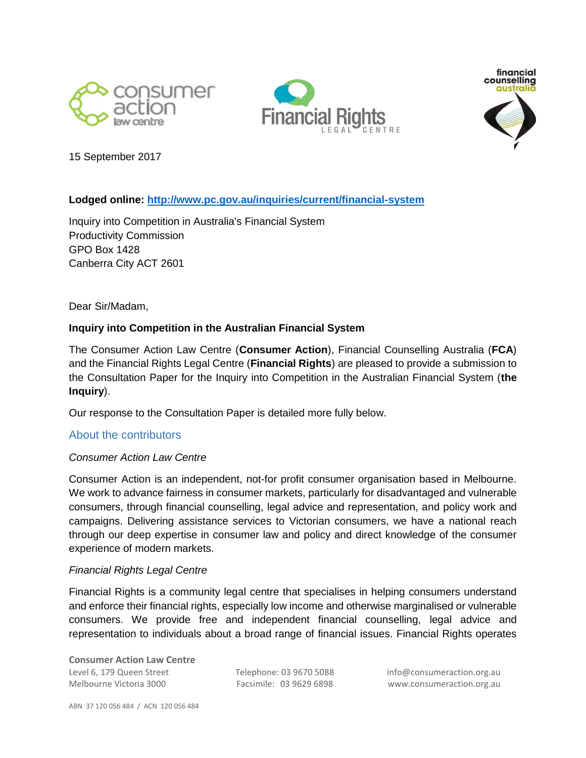





15 September 2017

# **Lodged online:<http://www.pc.gov.au/inquiries/current/financial-system>**

Inquiry into Competition in Australia's Financial System Productivity Commission GPO Box 1428 Canberra City ACT 2601

Dear Sir/Madam,

### **Inquiry into Competition in the Australian Financial System**

The Consumer Action Law Centre (**Consumer Action**), Financial Counselling Australia (**FCA**) and the Financial Rights Legal Centre (**Financial Rights**) are pleased to provide a submission to the Consultation Paper for the Inquiry into Competition in the Australian Financial System (**the Inquiry**).

Our response to the Consultation Paper is detailed more fully below.

#### <span id="page-0-0"></span>About the contributors

#### *Consumer Action Law Centre*

Consumer Action is an independent, not-for profit consumer organisation based in Melbourne. We work to advance fairness in consumer markets, particularly for disadvantaged and vulnerable consumers, through financial counselling, legal advice and representation, and policy work and campaigns. Delivering assistance services to Victorian consumers, we have a national reach through our deep expertise in consumer law and policy and direct knowledge of the consumer experience of modern markets.

#### *Financial Rights Legal Centre*

Financial Rights is a community legal centre that specialises in helping consumers understand and enforce their financial rights, especially low income and otherwise marginalised or vulnerable consumers. We provide free and independent financial counselling, legal advice and representation to individuals about a broad range of financial issues. Financial Rights operates

**Consumer Action Law Centre** Level 6, 179 Queen Street Telephone: 03 9670 5088 info@consumeraction.org.au Melbourne Victoria 3000 Facsimile: 03 9629 6898 www.consumeraction.org.au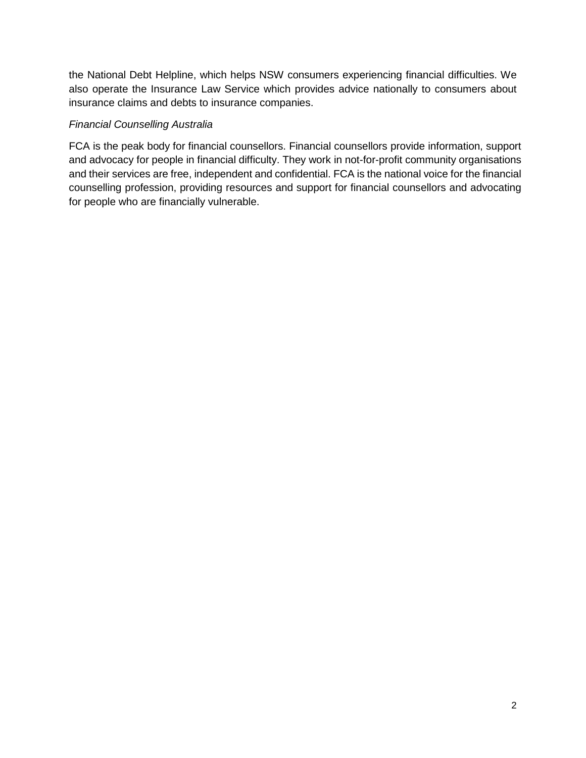the National Debt Helpline, which helps NSW consumers experiencing financial difficulties. We also operate the Insurance Law Service which provides advice nationally to consumers about insurance claims and debts to insurance companies.

### *Financial Counselling Australia*

FCA is the peak body for financial counsellors. Financial counsellors provide information, support and advocacy for people in financial difficulty. They work in not-for-profit community organisations and their services are free, independent and confidential. FCA is the national voice for the financial counselling profession, providing resources and support for financial counsellors and advocating for people who are financially vulnerable.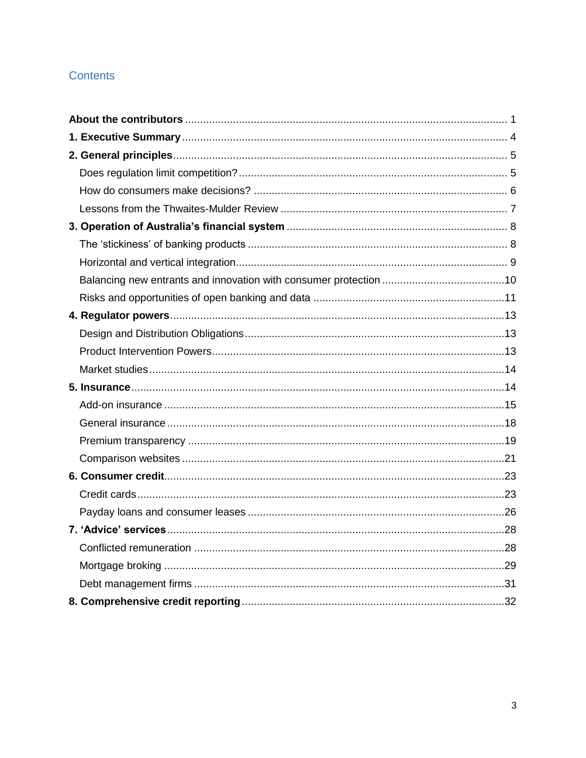# Contents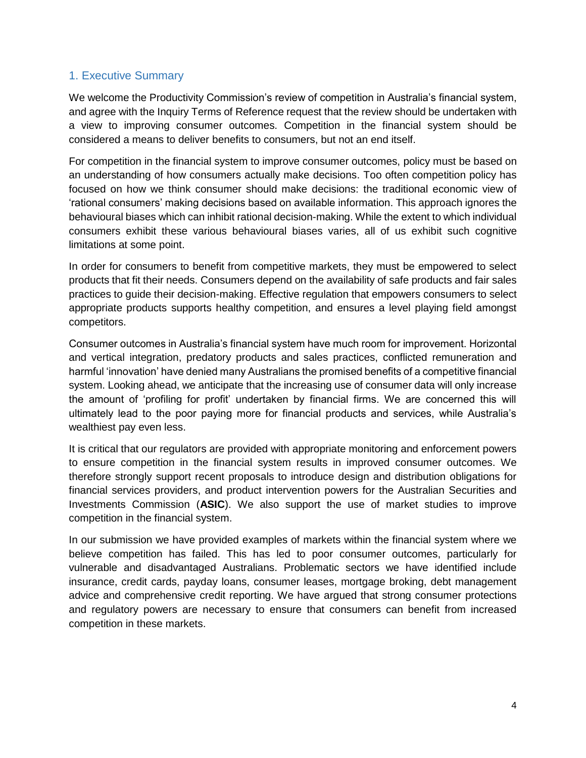# <span id="page-3-0"></span>1. Executive Summary

We welcome the Productivity Commission's review of competition in Australia's financial system, and agree with the Inquiry Terms of Reference request that the review should be undertaken with a view to improving consumer outcomes. Competition in the financial system should be considered a means to deliver benefits to consumers, but not an end itself.

For competition in the financial system to improve consumer outcomes, policy must be based on an understanding of how consumers actually make decisions. Too often competition policy has focused on how we think consumer should make decisions: the traditional economic view of 'rational consumers' making decisions based on available information. This approach ignores the behavioural biases which can inhibit rational decision-making. While the extent to which individual consumers exhibit these various behavioural biases varies, all of us exhibit such cognitive limitations at some point.

In order for consumers to benefit from competitive markets, they must be empowered to select products that fit their needs. Consumers depend on the availability of safe products and fair sales practices to guide their decision-making. Effective regulation that empowers consumers to select appropriate products supports healthy competition, and ensures a level playing field amongst competitors.

Consumer outcomes in Australia's financial system have much room for improvement. Horizontal and vertical integration, predatory products and sales practices, conflicted remuneration and harmful 'innovation' have denied many Australians the promised benefits of a competitive financial system. Looking ahead, we anticipate that the increasing use of consumer data will only increase the amount of 'profiling for profit' undertaken by financial firms. We are concerned this will ultimately lead to the poor paying more for financial products and services, while Australia's wealthiest pay even less.

It is critical that our regulators are provided with appropriate monitoring and enforcement powers to ensure competition in the financial system results in improved consumer outcomes. We therefore strongly support recent proposals to introduce design and distribution obligations for financial services providers, and product intervention powers for the Australian Securities and Investments Commission (**ASIC**). We also support the use of market studies to improve competition in the financial system.

In our submission we have provided examples of markets within the financial system where we believe competition has failed. This has led to poor consumer outcomes, particularly for vulnerable and disadvantaged Australians. Problematic sectors we have identified include insurance, credit cards, payday loans, consumer leases, mortgage broking, debt management advice and comprehensive credit reporting. We have argued that strong consumer protections and regulatory powers are necessary to ensure that consumers can benefit from increased competition in these markets.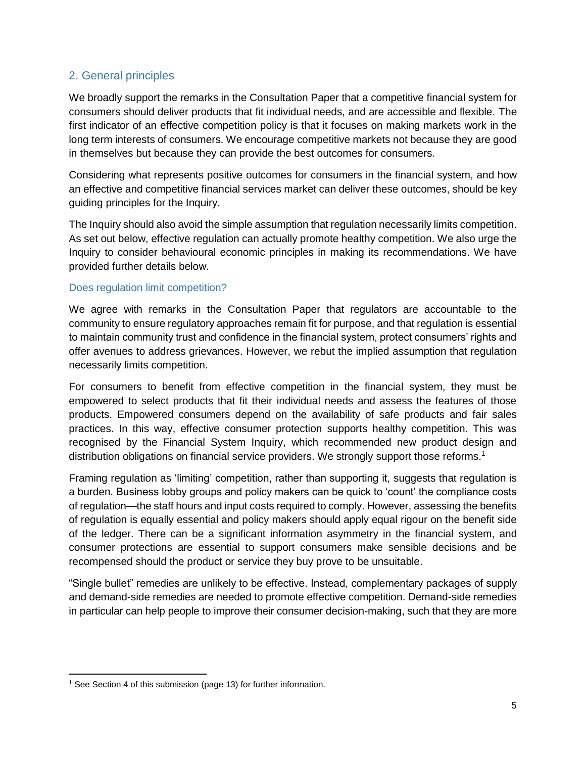# <span id="page-4-0"></span>2. General principles

We broadly support the remarks in the Consultation Paper that a competitive financial system for consumers should deliver products that fit individual needs, and are accessible and flexible. The first indicator of an effective competition policy is that it focuses on making markets work in the long term interests of consumers. We encourage competitive markets not because they are good in themselves but because they can provide the best outcomes for consumers.

Considering what represents positive outcomes for consumers in the financial system, and how an effective and competitive financial services market can deliver these outcomes, should be key guiding principles for the Inquiry.

The Inquiry should also avoid the simple assumption that regulation necessarily limits competition. As set out below, effective regulation can actually promote healthy competition. We also urge the Inquiry to consider behavioural economic principles in making its recommendations. We have provided further details below.

#### <span id="page-4-1"></span>Does regulation limit competition?

We agree with remarks in the Consultation Paper that regulators are accountable to the community to ensure regulatory approaches remain fit for purpose, and that regulation is essential to maintain community trust and confidence in the financial system, protect consumers' rights and offer avenues to address grievances. However, we rebut the implied assumption that regulation necessarily limits competition.

For consumers to benefit from effective competition in the financial system, they must be empowered to select products that fit their individual needs and assess the features of those products. Empowered consumers depend on the availability of safe products and fair sales practices. In this way, effective consumer protection supports healthy competition. This was recognised by the Financial System Inquiry, which recommended new product design and distribution obligations on financial service providers. We strongly support those reforms.<sup>1</sup>

Framing regulation as 'limiting' competition, rather than supporting it, suggests that regulation is a burden. Business lobby groups and policy makers can be quick to 'count' the compliance costs of regulation—the staff hours and input costs required to comply. However, assessing the benefits of regulation is equally essential and policy makers should apply equal rigour on the benefit side of the ledger. There can be a significant information asymmetry in the financial system, and consumer protections are essential to support consumers make sensible decisions and be recompensed should the product or service they buy prove to be unsuitable.

"Single bullet" remedies are unlikely to be effective. Instead, complementary packages of supply and demand-side remedies are needed to promote effective competition. Demand-side remedies in particular can help people to improve their consumer decision-making, such that they are more

 $\overline{\phantom{a}}$ <sup>1</sup> See Section 4 of this submission (page 13) for further information.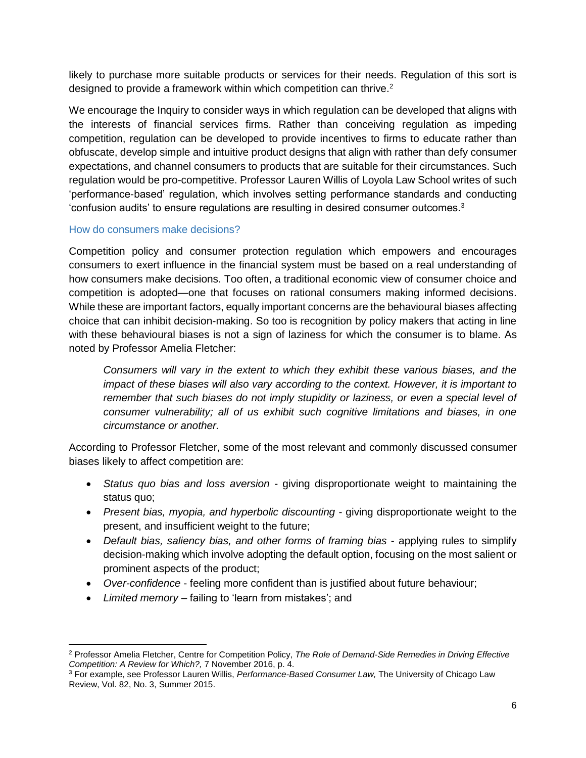likely to purchase more suitable products or services for their needs. Regulation of this sort is designed to provide a framework within which competition can thrive.<sup>2</sup>

We encourage the Inquiry to consider ways in which regulation can be developed that aligns with the interests of financial services firms. Rather than conceiving regulation as impeding competition, regulation can be developed to provide incentives to firms to educate rather than obfuscate, develop simple and intuitive product designs that align with rather than defy consumer expectations, and channel consumers to products that are suitable for their circumstances. Such regulation would be pro-competitive. Professor Lauren Willis of Loyola Law School writes of such 'performance-based' regulation, which involves setting performance standards and conducting 'confusion audits' to ensure regulations are resulting in desired consumer outcomes. $3$ 

#### <span id="page-5-0"></span>How do consumers make decisions?

Competition policy and consumer protection regulation which empowers and encourages consumers to exert influence in the financial system must be based on a real understanding of how consumers make decisions. Too often, a traditional economic view of consumer choice and competition is adopted—one that focuses on rational consumers making informed decisions. While these are important factors, equally important concerns are the behavioural biases affecting choice that can inhibit decision-making. So too is recognition by policy makers that acting in line with these behavioural biases is not a sign of laziness for which the consumer is to blame. As noted by Professor Amelia Fletcher:

*Consumers will vary in the extent to which they exhibit these various biases, and the impact of these biases will also vary according to the context. However, it is important to remember that such biases do not imply stupidity or laziness, or even a special level of consumer vulnerability; all of us exhibit such cognitive limitations and biases, in one circumstance or another.*

According to Professor Fletcher, some of the most relevant and commonly discussed consumer biases likely to affect competition are:

- *Status quo bias and loss aversion* giving disproportionate weight to maintaining the status quo;
- *Present bias, myopia, and hyperbolic discounting* giving disproportionate weight to the present, and insufficient weight to the future;
- *Default bias, saliency bias, and other forms of framing bias* applying rules to simplify decision-making which involve adopting the default option, focusing on the most salient or prominent aspects of the product;
- *Over-confidence* feeling more confident than is justified about future behaviour;
- *Limited memory* failing to 'learn from mistakes'; and

 $\overline{\phantom{a}}$ <sup>2</sup> Professor Amelia Fletcher, Centre for Competition Policy, *The Role of Demand-Side Remedies in Driving Effective Competition: A Review for Which?,* 7 November 2016, p. 4.

<sup>3</sup> For example, see Professor Lauren Willis, *Performance-Based Consumer Law,* The University of Chicago Law Review, Vol. 82, No. 3, Summer 2015.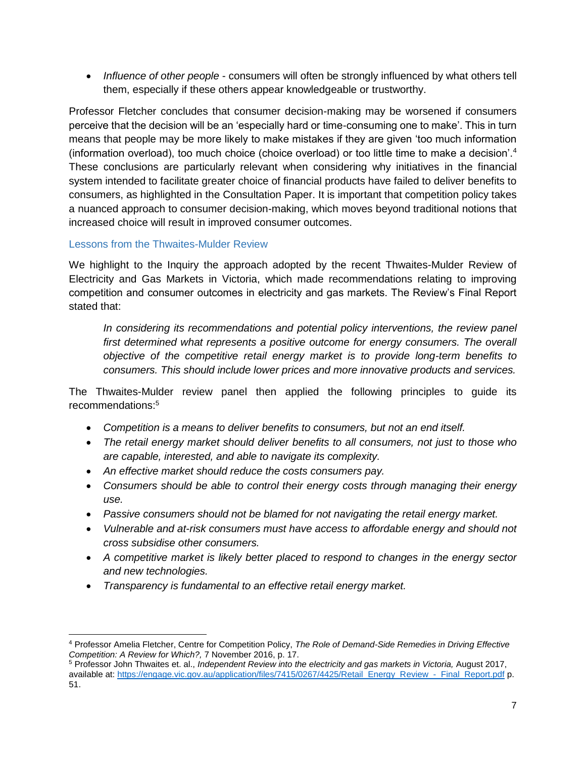*Influence of other people* - consumers will often be strongly influenced by what others tell them, especially if these others appear knowledgeable or trustworthy.

Professor Fletcher concludes that consumer decision-making may be worsened if consumers perceive that the decision will be an 'especially hard or time-consuming one to make'. This in turn means that people may be more likely to make mistakes if they are given 'too much information (information overload), too much choice (choice overload) or too little time to make a decision'.<sup>4</sup> These conclusions are particularly relevant when considering why initiatives in the financial system intended to facilitate greater choice of financial products have failed to deliver benefits to consumers, as highlighted in the Consultation Paper. It is important that competition policy takes a nuanced approach to consumer decision-making, which moves beyond traditional notions that increased choice will result in improved consumer outcomes.

# <span id="page-6-0"></span>Lessons from the Thwaites-Mulder Review

We highlight to the Inquiry the approach adopted by the recent Thwaites-Mulder Review of Electricity and Gas Markets in Victoria, which made recommendations relating to improving competition and consumer outcomes in electricity and gas markets. The Review's Final Report stated that:

*In considering its recommendations and potential policy interventions, the review panel* first determined what represents a positive outcome for energy consumers. The overall *objective of the competitive retail energy market is to provide long-term benefits to consumers. This should include lower prices and more innovative products and services.* 

The Thwaites-Mulder review panel then applied the following principles to guide its recommendations: 5

- *Competition is a means to deliver benefits to consumers, but not an end itself.*
- *The retail energy market should deliver benefits to all consumers, not just to those who are capable, interested, and able to navigate its complexity.*
- *An effective market should reduce the costs consumers pay.*
- *Consumers should be able to control their energy costs through managing their energy use.*
- *Passive consumers should not be blamed for not navigating the retail energy market.*
- *Vulnerable and at-risk consumers must have access to affordable energy and should not cross subsidise other consumers.*
- *A competitive market is likely better placed to respond to changes in the energy sector and new technologies.*
- *Transparency is fundamental to an effective retail energy market.*

l <sup>4</sup> Professor Amelia Fletcher, Centre for Competition Policy, *The Role of Demand-Side Remedies in Driving Effective Competition: A Review for Which?,* 7 November 2016, p. 17.

<sup>5</sup> Professor John Thwaites et. al., *Independent Review into the electricity and gas markets in Victoria,* August 2017, available at[: https://engage.vic.gov.au/application/files/7415/0267/4425/Retail\\_Energy\\_Review\\_-\\_Final\\_Report.pdf](https://engage.vic.gov.au/application/files/7415/0267/4425/Retail_Energy_Review_-_Final_Report.pdf) p. 51.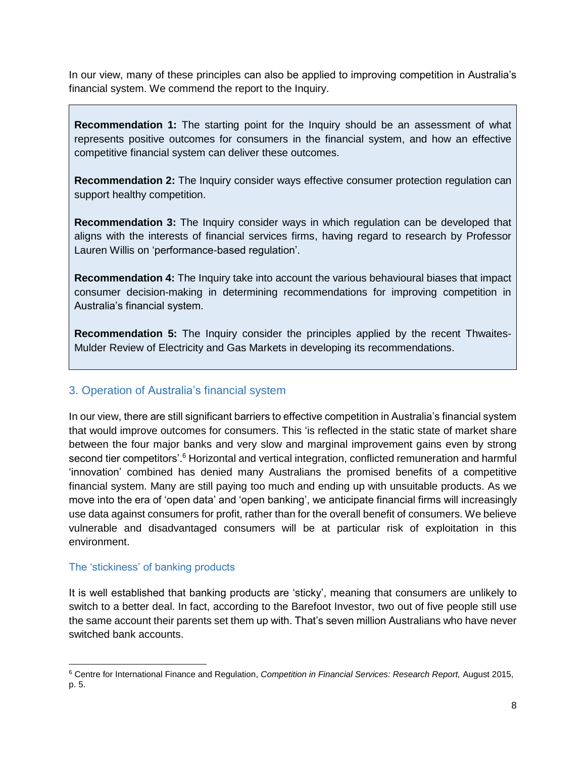In our view, many of these principles can also be applied to improving competition in Australia's financial system. We commend the report to the Inquiry.

**Recommendation 1:** The starting point for the Inquiry should be an assessment of what represents positive outcomes for consumers in the financial system, and how an effective competitive financial system can deliver these outcomes.

**Recommendation 2:** The Inquiry consider ways effective consumer protection regulation can support healthy competition.

**Recommendation 3:** The Inquiry consider ways in which regulation can be developed that aligns with the interests of financial services firms, having regard to research by Professor Lauren Willis on 'performance-based regulation'.

**Recommendation 4:** The Inquiry take into account the various behavioural biases that impact consumer decision-making in determining recommendations for improving competition in Australia's financial system.

**Recommendation 5:** The Inquiry consider the principles applied by the recent Thwaites-Mulder Review of Electricity and Gas Markets in developing its recommendations.

# <span id="page-7-0"></span>3. Operation of Australia's financial system

In our view, there are still significant barriers to effective competition in Australia's financial system that would improve outcomes for consumers. This 'is reflected in the static state of market share between the four major banks and very slow and marginal improvement gains even by strong second tier competitors'.<sup>6</sup> Horizontal and vertical integration, conflicted remuneration and harmful 'innovation' combined has denied many Australians the promised benefits of a competitive financial system. Many are still paying too much and ending up with unsuitable products. As we move into the era of 'open data' and 'open banking', we anticipate financial firms will increasingly use data against consumers for profit, rather than for the overall benefit of consumers. We believe vulnerable and disadvantaged consumers will be at particular risk of exploitation in this environment.

# <span id="page-7-1"></span>The 'stickiness' of banking products

 $\overline{a}$ 

It is well established that banking products are 'sticky', meaning that consumers are unlikely to switch to a better deal. In fact, according to the Barefoot Investor, two out of five people still use the same account their parents set them up with. That's seven million Australians who have never switched bank accounts.

<sup>6</sup> Centre for International Finance and Regulation, *Competition in Financial Services: Research Report,* August 2015, p. 5.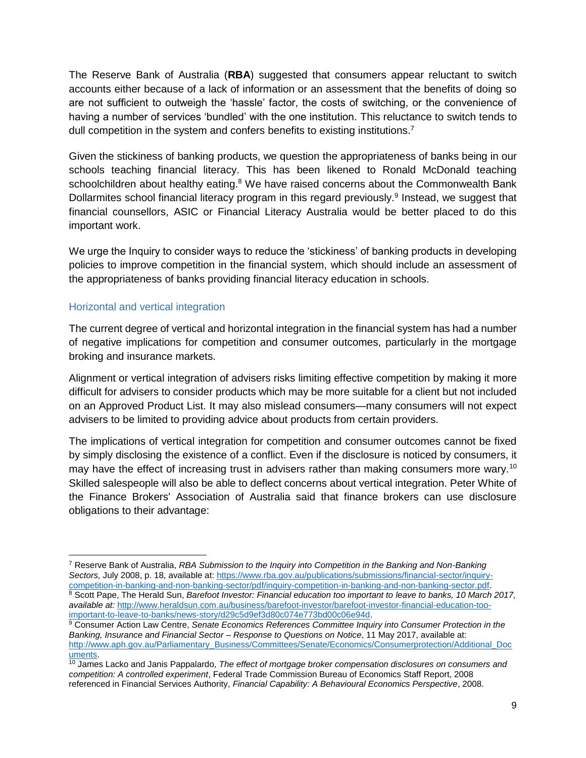The Reserve Bank of Australia (**RBA**) suggested that consumers appear reluctant to switch accounts either because of a lack of information or an assessment that the benefits of doing so are not sufficient to outweigh the 'hassle' factor, the costs of switching, or the convenience of having a number of services 'bundled' with the one institution. This reluctance to switch tends to dull competition in the system and confers benefits to existing institutions.<sup>7</sup>

Given the stickiness of banking products, we question the appropriateness of banks being in our schools teaching financial literacy. This has been likened to Ronald McDonald teaching schoolchildren about healthy eating. $8$  We have raised concerns about the Commonwealth Bank Dollarmites school financial literacy program in this regard previously.<sup>9</sup> Instead, we suggest that financial counsellors, ASIC or Financial Literacy Australia would be better placed to do this important work.

We urge the Inquiry to consider ways to reduce the 'stickiness' of banking products in developing policies to improve competition in the financial system, which should include an assessment of the appropriateness of banks providing financial literacy education in schools.

### <span id="page-8-0"></span>Horizontal and vertical integration

 $\overline{\phantom{a}}$ 

The current degree of vertical and horizontal integration in the financial system has had a number of negative implications for competition and consumer outcomes, particularly in the mortgage broking and insurance markets.

Alignment or vertical integration of advisers risks limiting effective competition by making it more difficult for advisers to consider products which may be more suitable for a client but not included on an Approved Product List. It may also mislead consumers—many consumers will not expect advisers to be limited to providing advice about products from certain providers.

The implications of vertical integration for competition and consumer outcomes cannot be fixed by simply disclosing the existence of a conflict. Even if the disclosure is noticed by consumers, it may have the effect of increasing trust in advisers rather than making consumers more wary.<sup>10</sup> Skilled salespeople will also be able to deflect concerns about vertical integration. Peter White of the Finance Brokers' Association of Australia said that finance brokers can use disclosure obligations to their advantage:

<sup>7</sup> Reserve Bank of Australia, *RBA Submission to the Inquiry into Competition in the Banking and Non-Banking Sectors,* July 2008, p. 18, available at: [https://www.rba.gov.au/publications/submissions/financial-sector/inquiry](https://www.rba.gov.au/publications/submissions/financial-sector/inquiry-competition-in-banking-and-non-banking-sector/pdf/inquiry-competition-in-banking-and-non-banking-sector.pdf)[competition-in-banking-and-non-banking-sector/pdf/inquiry-competition-in-banking-and-non-banking-sector.pdf.](https://www.rba.gov.au/publications/submissions/financial-sector/inquiry-competition-in-banking-and-non-banking-sector/pdf/inquiry-competition-in-banking-and-non-banking-sector.pdf) <sup>8</sup> Scott Pape, The Herald Sun, *Barefoot Investor: Financial education too important to leave to banks, 10 March 2017, available at:* [http://www.heraldsun.com.au/business/barefoot-investor/barefoot-investor-financial-education-too](http://www.heraldsun.com.au/business/barefoot-investor/barefoot-investor-financial-education-too-important-to-leave-to-banks/news-story/d29c5d9ef3d80c074e773bd00c06e94d)[important-to-leave-to-banks/news-story/d29c5d9ef3d80c074e773bd00c06e94d.](http://www.heraldsun.com.au/business/barefoot-investor/barefoot-investor-financial-education-too-important-to-leave-to-banks/news-story/d29c5d9ef3d80c074e773bd00c06e94d)

<sup>9</sup> Consumer Action Law Centre, *Senate Economics References Committee Inquiry into Consumer Protection in the Banking, Insurance and Financial Sector – Response to Questions on Notice*, 11 May 2017, available at: [http://www.aph.gov.au/Parliamentary\\_Business/Committees/Senate/Economics/Consumerprotection/Additional\\_Doc](http://www.aph.gov.au/Parliamentary_Business/Committees/Senate/Economics/Consumerprotection/Additional_Documents) [uments.](http://www.aph.gov.au/Parliamentary_Business/Committees/Senate/Economics/Consumerprotection/Additional_Documents)

<sup>&</sup>lt;sup>10</sup> James Lacko and Janis Pappalardo, *The effect of mortgage broker compensation disclosures on consumers and competition: A controlled experiment*, Federal Trade Commission Bureau of Economics Staff Report, 2008 referenced in Financial Services Authority, *Financial Capability: A Behavioural Economics Perspective*, 2008.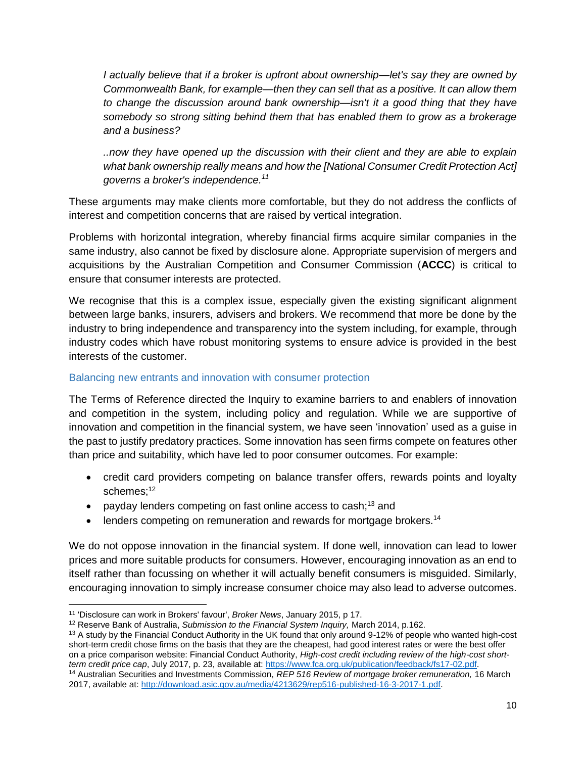*I actually believe that if a broker is upfront about ownership—let's say they are owned by Commonwealth Bank, for example—then they can sell that as a positive. It can allow them to change the discussion around bank ownership—isn't it a good thing that they have somebody so strong sitting behind them that has enabled them to grow as a brokerage and a business?*

*..now they have opened up the discussion with their client and they are able to explain what bank ownership really means and how the [National Consumer Credit Protection Act] governs a broker's independence.<sup>11</sup>*

These arguments may make clients more comfortable, but they do not address the conflicts of interest and competition concerns that are raised by vertical integration.

Problems with horizontal integration, whereby financial firms acquire similar companies in the same industry, also cannot be fixed by disclosure alone. Appropriate supervision of mergers and acquisitions by the Australian Competition and Consumer Commission (**ACCC**) is critical to ensure that consumer interests are protected.

We recognise that this is a complex issue, especially given the existing significant alignment between large banks, insurers, advisers and brokers. We recommend that more be done by the industry to bring independence and transparency into the system including, for example, through industry codes which have robust monitoring systems to ensure advice is provided in the best interests of the customer.

#### <span id="page-9-0"></span>Balancing new entrants and innovation with consumer protection

The Terms of Reference directed the Inquiry to examine barriers to and enablers of innovation and competition in the system, including policy and regulation. While we are supportive of innovation and competition in the financial system, we have seen 'innovation' used as a guise in the past to justify predatory practices. Some innovation has seen firms compete on features other than price and suitability, which have led to poor consumer outcomes. For example:

- credit card providers competing on balance transfer offers, rewards points and loyalty schemes; 12
- payday lenders competing on fast online access to cash;<sup>13</sup> and
- $\bullet$  lenders competing on remuneration and rewards for mortgage brokers.<sup>14</sup>

We do not oppose innovation in the financial system. If done well, innovation can lead to lower prices and more suitable products for consumers. However, encouraging innovation as an end to itself rather than focussing on whether it will actually benefit consumers is misguided. Similarly, encouraging innovation to simply increase consumer choice may also lead to adverse outcomes.

 $\overline{\phantom{a}}$ <sup>11</sup> 'Disclosure can work in Brokers' favour', *Broker News*, January 2015, p 17.

<sup>12</sup> Reserve Bank of Australia, *Submission to the Financial System Inquiry,* March 2014, p.162.

<sup>&</sup>lt;sup>13</sup> A study by the Financial Conduct Authority in the UK found that only around 9-12% of people who wanted high-cost short-term credit chose firms on the basis that they are the cheapest, had good interest rates or were the best offer on a price comparison website: Financial Conduct Authority, *High-cost credit including review of the high-cost shortterm credit price cap*, July 2017, p. 23, available at[: https://www.fca.org.uk/publication/feedback/fs17-02.pdf.](https://www.fca.org.uk/publication/feedback/fs17-02.pdf)

<sup>14</sup> Australian Securities and Investments Commission, *REP 516 Review of mortgage broker remuneration,* 16 March 2017, available at[: http://download.asic.gov.au/media/4213629/rep516-published-16-3-2017-1.pdf.](http://download.asic.gov.au/media/4213629/rep516-published-16-3-2017-1.pdf)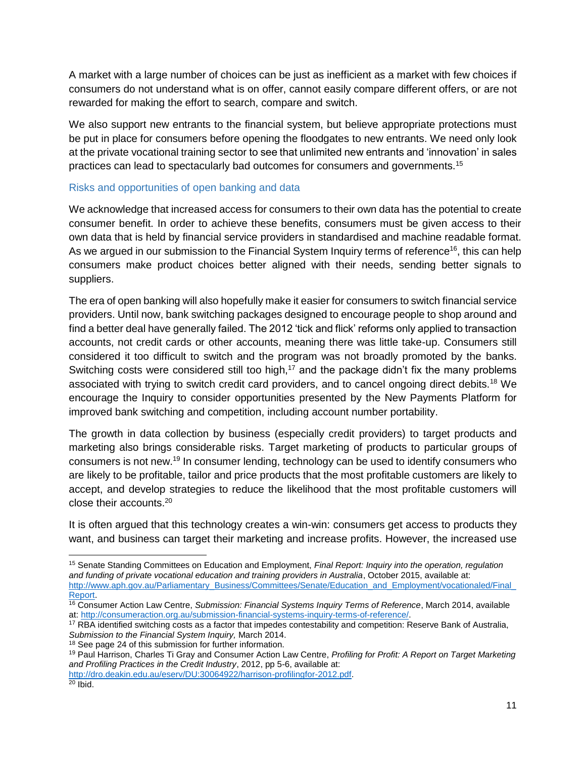A market with a large number of choices can be just as inefficient as a market with few choices if consumers do not understand what is on offer, cannot easily compare different offers, or are not rewarded for making the effort to search, compare and switch.

We also support new entrants to the financial system, but believe appropriate protections must be put in place for consumers before opening the floodgates to new entrants. We need only look at the private vocational training sector to see that unlimited new entrants and 'innovation' in sales practices can lead to spectacularly bad outcomes for consumers and governments.<sup>15</sup>

#### <span id="page-10-0"></span>Risks and opportunities of open banking and data

We acknowledge that increased access for consumers to their own data has the potential to create consumer benefit. In order to achieve these benefits, consumers must be given access to their own data that is held by financial service providers in standardised and machine readable format. As we argued in our submission to the Financial System Inquiry terms of reference<sup>16</sup>, this can help consumers make product choices better aligned with their needs, sending better signals to suppliers.

The era of open banking will also hopefully make it easier for consumers to switch financial service providers. Until now, bank switching packages designed to encourage people to shop around and find a better deal have generally failed. The 2012 'tick and flick' reforms only applied to transaction accounts, not credit cards or other accounts, meaning there was little take-up. Consumers still considered it too difficult to switch and the program was not broadly promoted by the banks. Switching costs were considered still too high,<sup>17</sup> and the package didn't fix the many problems associated with trying to switch credit card providers, and to cancel ongoing direct debits.<sup>18</sup> We encourage the Inquiry to consider opportunities presented by the New Payments Platform for improved bank switching and competition, including account number portability.

The growth in data collection by business (especially credit providers) to target products and marketing also brings considerable risks. Target marketing of products to particular groups of consumers is not new.<sup>19</sup> In consumer lending, technology can be used to identify consumers who are likely to be profitable, tailor and price products that the most profitable customers are likely to accept, and develop strategies to reduce the likelihood that the most profitable customers will close their accounts.<sup>20</sup>

It is often argued that this technology creates a win-win: consumers get access to products they want, and business can target their marketing and increase profits. However, the increased use

 $\overline{\phantom{a}}$ 

<sup>15</sup> Senate Standing Committees on Education and Employment, *Final Report: Inquiry into the operation, regulation and funding of private vocational education and training providers in Australia*, October 2015, available at: [http://www.aph.gov.au/Parliamentary\\_Business/Committees/Senate/Education\\_and\\_Employment/vocationaled/Final\\_](http://www.aph.gov.au/Parliamentary_Business/Committees/Senate/Education_and_Employment/vocationaled/Final_Report) [Report.](http://www.aph.gov.au/Parliamentary_Business/Committees/Senate/Education_and_Employment/vocationaled/Final_Report)

<sup>16</sup> Consumer Action Law Centre, *Submission: Financial Systems Inquiry Terms of Reference*, March 2014, available at[: http://consumeraction.org.au/submission-financial-systems-inquiry-terms-of-reference/.](http://consumeraction.org.au/submission-financial-systems-inquiry-terms-of-reference/)

<sup>&</sup>lt;sup>17</sup> RBA identified switching costs as a factor that impedes contestability and competition: Reserve Bank of Australia, *Submission to the Financial System Inquiry,* March 2014.

<sup>18</sup> See page 24 of this submission for further information.

<sup>19</sup> Paul Harrison, Charles Ti Gray and Consumer Action Law Centre, *Profiling for Profit: A Report on Target Marketing and Profiling Practices in the Credit Industry*, 2012, pp 5-6, available at:

[http://dro.deakin.edu.au/eserv/DU:30064922/harrison-profilingfor-2012.pdf.](http://dro.deakin.edu.au/eserv/DU:30064922/harrison-profilingfor-2012.pdf)

 $20$  Ibid.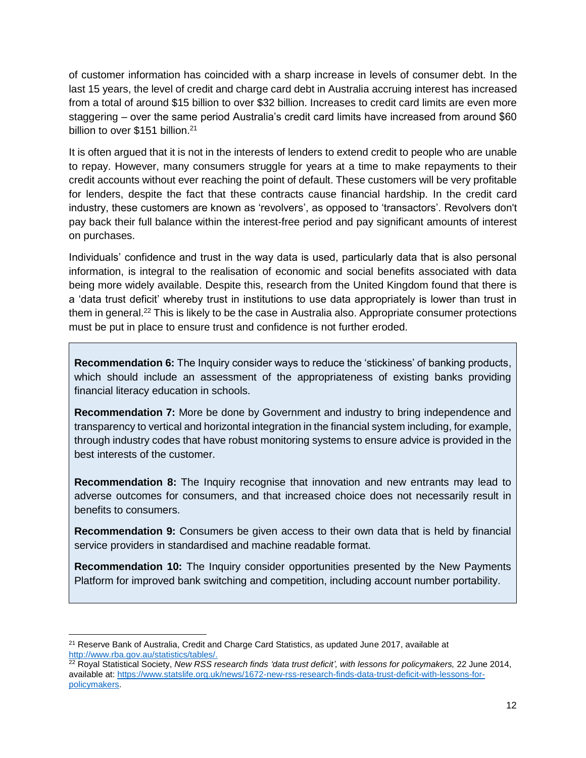of customer information has coincided with a sharp increase in levels of consumer debt. In the last 15 years, the level of credit and charge card debt in Australia accruing interest has increased from a total of around \$15 billion to over \$32 billion. Increases to credit card limits are even more staggering – over the same period Australia's credit card limits have increased from around \$60 billion to over \$151 billion.<sup>21</sup>

It is often argued that it is not in the interests of lenders to extend credit to people who are unable to repay. However, many consumers struggle for years at a time to make repayments to their credit accounts without ever reaching the point of default. These customers will be very profitable for lenders, despite the fact that these contracts cause financial hardship. In the credit card industry, these customers are known as 'revolvers', as opposed to 'transactors'. Revolvers don't pay back their full balance within the interest-free period and pay significant amounts of interest on purchases.

Individuals' confidence and trust in the way data is used, particularly data that is also personal information, is integral to the realisation of economic and social benefits associated with data being more widely available. Despite this, research from the United Kingdom found that there is a 'data trust deficit' whereby trust in institutions to use data appropriately is lower than trust in them in general.<sup>22</sup> This is likely to be the case in Australia also. Appropriate consumer protections must be put in place to ensure trust and confidence is not further eroded.

**Recommendation 6:** The Inquiry consider ways to reduce the 'stickiness' of banking products, which should include an assessment of the appropriateness of existing banks providing financial literacy education in schools.

**Recommendation 7:** More be done by Government and industry to bring independence and transparency to vertical and horizontal integration in the financial system including, for example, through industry codes that have robust monitoring systems to ensure advice is provided in the best interests of the customer.

**Recommendation 8:** The Inquiry recognise that innovation and new entrants may lead to adverse outcomes for consumers, and that increased choice does not necessarily result in benefits to consumers.

**Recommendation 9:** Consumers be given access to their own data that is held by financial service providers in standardised and machine readable format.

**Recommendation 10:** The Inquiry consider opportunities presented by the New Payments Platform for improved bank switching and competition, including account number portability.

l <sup>21</sup> Reserve Bank of Australia, Credit and Charge Card Statistics, as updated June 2017, available at [http://www.rba.gov.au/statistics/tables/.](http://www.rba.gov.au/statistics/tables/)

<sup>&</sup>lt;sup>22</sup> Royal Statistical Society, *New RSS research finds 'data trust deficit', with lessons for policymakers, 22 June 2014,* available at[: https://www.statslife.org.uk/news/1672-new-rss-research-finds-data-trust-deficit-with-lessons-for](https://www.statslife.org.uk/news/1672-new-rss-research-finds-data-trust-deficit-with-lessons-for-policymakers)[policymakers.](https://www.statslife.org.uk/news/1672-new-rss-research-finds-data-trust-deficit-with-lessons-for-policymakers)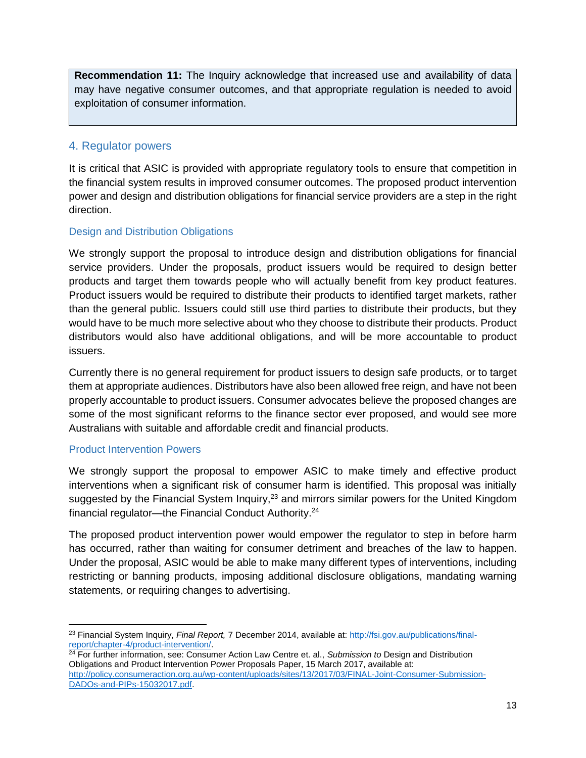**Recommendation 11:** The Inquiry acknowledge that increased use and availability of data may have negative consumer outcomes, and that appropriate regulation is needed to avoid exploitation of consumer information.

# <span id="page-12-0"></span>4. Regulator powers

It is critical that ASIC is provided with appropriate regulatory tools to ensure that competition in the financial system results in improved consumer outcomes. The proposed product intervention power and design and distribution obligations for financial service providers are a step in the right direction.

### <span id="page-12-1"></span>Design and Distribution Obligations

We strongly support the proposal to introduce design and distribution obligations for financial service providers. Under the proposals, product issuers would be required to design better products and target them towards people who will actually benefit from key product features. Product issuers would be required to distribute their products to identified target markets, rather than the general public. Issuers could still use third parties to distribute their products, but they would have to be much more selective about who they choose to distribute their products. Product distributors would also have additional obligations, and will be more accountable to product issuers.

Currently there is no general requirement for product issuers to design safe products, or to target them at appropriate audiences. Distributors have also been allowed free reign, and have not been properly accountable to product issuers. Consumer advocates believe the proposed changes are some of the most significant reforms to the finance sector ever proposed, and would see more Australians with suitable and affordable credit and financial products.

#### <span id="page-12-2"></span>Product Intervention Powers

We strongly support the proposal to empower ASIC to make timely and effective product interventions when a significant risk of consumer harm is identified. This proposal was initially suggested by the Financial System Inquiry,<sup>23</sup> and mirrors similar powers for the United Kingdom financial regulator—the Financial Conduct Authority.<sup>24</sup>

The proposed product intervention power would empower the regulator to step in before harm has occurred, rather than waiting for consumer detriment and breaches of the law to happen. Under the proposal, ASIC would be able to make many different types of interventions, including restricting or banning products, imposing additional disclosure obligations, mandating warning statements, or requiring changes to advertising.

<sup>24</sup> For further information, see: Consumer Action Law Centre et. al., *Submission to* Design and Distribution Obligations and Product Intervention Power Proposals Paper, 15 March 2017, available at: [http://policy.consumeraction.org.au/wp-content/uploads/sites/13/2017/03/FINAL-Joint-Consumer-Submission-](http://policy.consumeraction.org.au/wp-content/uploads/sites/13/2017/03/FINAL-Joint-Consumer-Submission-DADOs-and-PIPs-15032017.pdf)[DADOs-and-PIPs-15032017.pdf.](http://policy.consumeraction.org.au/wp-content/uploads/sites/13/2017/03/FINAL-Joint-Consumer-Submission-DADOs-and-PIPs-15032017.pdf)

 $\overline{\phantom{a}}$ <sup>23</sup> Financial System Inquiry, *Final Report,* 7 December 2014, available at: [http://fsi.gov.au/publications/final](http://fsi.gov.au/publications/final-report/chapter-4/product-intervention/)[report/chapter-4/product-intervention/.](http://fsi.gov.au/publications/final-report/chapter-4/product-intervention/)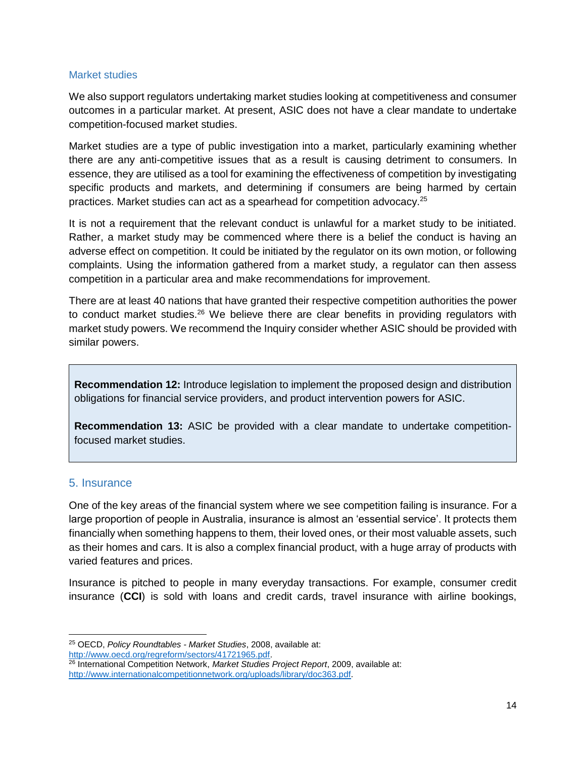#### <span id="page-13-0"></span>Market studies

We also support regulators undertaking market studies looking at competitiveness and consumer outcomes in a particular market. At present, ASIC does not have a clear mandate to undertake competition-focused market studies.

Market studies are a type of public investigation into a market, particularly examining whether there are any anti-competitive issues that as a result is causing detriment to consumers. In essence, they are utilised as a tool for examining the effectiveness of competition by investigating specific products and markets, and determining if consumers are being harmed by certain practices. Market studies can act as a spearhead for competition advocacy.<sup>25</sup>

It is not a requirement that the relevant conduct is unlawful for a market study to be initiated. Rather, a market study may be commenced where there is a belief the conduct is having an adverse effect on competition. It could be initiated by the regulator on its own motion, or following complaints. Using the information gathered from a market study, a regulator can then assess competition in a particular area and make recommendations for improvement.

There are at least 40 nations that have granted their respective competition authorities the power to conduct market studies.<sup>26</sup> We believe there are clear benefits in providing regulators with market study powers. We recommend the Inquiry consider whether ASIC should be provided with similar powers.

**Recommendation 12:** Introduce legislation to implement the proposed design and distribution obligations for financial service providers, and product intervention powers for ASIC.

**Recommendation 13:** ASIC be provided with a clear mandate to undertake competitionfocused market studies.

#### <span id="page-13-1"></span>5. Insurance

l

One of the key areas of the financial system where we see competition failing is insurance. For a large proportion of people in Australia, insurance is almost an 'essential service'. It protects them financially when something happens to them, their loved ones, or their most valuable assets, such as their homes and cars. It is also a complex financial product, with a huge array of products with varied features and prices.

Insurance is pitched to people in many everyday transactions. For example, consumer credit insurance (**CCI**) is sold with loans and credit cards, travel insurance with airline bookings,

<sup>25</sup> OECD, *Policy Roundtables - Market Studies*, 2008, available at: [http://www.oecd.org/regreform/sectors/41721965.pdf.](http://www.oecd.org/regreform/sectors/41721965.pdf)

<sup>26</sup> International Competition Network, *Market Studies Project Report*, 2009, available at: [http://www.internationalcompetitionnetwork.org/uploads/library/doc363.pdf.](http://www.internationalcompetitionnetwork.org/uploads/library/doc363.pdf)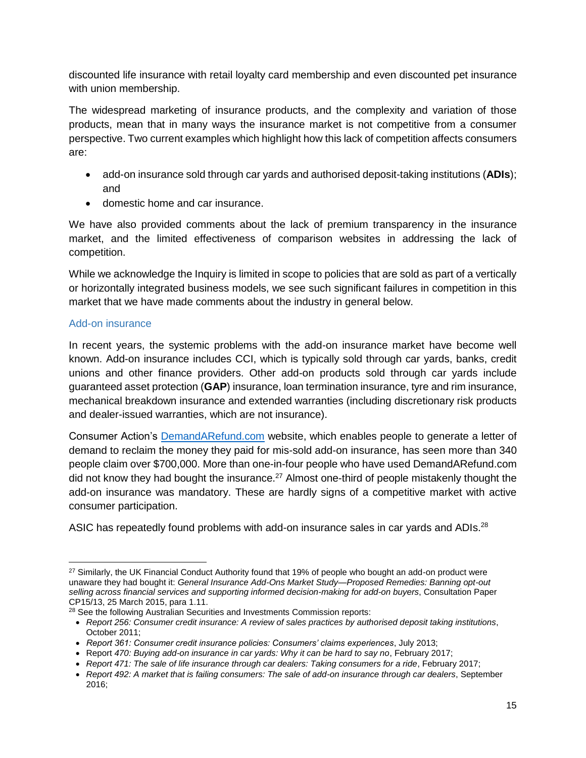discounted life insurance with retail loyalty card membership and even discounted pet insurance with union membership.

The widespread marketing of insurance products, and the complexity and variation of those products, mean that in many ways the insurance market is not competitive from a consumer perspective. Two current examples which highlight how this lack of competition affects consumers are:

- add-on insurance sold through car yards and authorised deposit-taking institutions (**ADIs**); and
- domestic home and car insurance.

We have also provided comments about the lack of premium transparency in the insurance market, and the limited effectiveness of comparison websites in addressing the lack of competition.

While we acknowledge the Inquiry is limited in scope to policies that are sold as part of a vertically or horizontally integrated business models, we see such significant failures in competition in this market that we have made comments about the industry in general below.

# <span id="page-14-0"></span>Add-on insurance

In recent years, the systemic problems with the add-on insurance market have become well known. Add-on insurance includes CCI, which is typically sold through car yards, banks, credit unions and other finance providers. Other add-on products sold through car yards include guaranteed asset protection (**GAP**) insurance, loan termination insurance, tyre and rim insurance, mechanical breakdown insurance and extended warranties (including discretionary risk products and dealer-issued warranties, which are not insurance).

Consumer Action's [DemandARefund.com](http://www.demandarefund.com/) website, which enables people to generate a letter of demand to reclaim the money they paid for mis-sold add-on insurance, has seen more than 340 people claim over \$700,000. More than one-in-four people who have used DemandARefund.com did not know they had bought the insurance.<sup>27</sup> Almost one-third of people mistakenly thought the add-on insurance was mandatory. These are hardly signs of a competitive market with active consumer participation.

ASIC has repeatedly found problems with add-on insurance sales in car yards and ADIs.<sup>28</sup>

 $\overline{a}$ <sup>27</sup> Similarly, the UK Financial Conduct Authority found that 19% of people who bought an add-on product were unaware they had bought it: *General Insurance Add-Ons Market Study—Proposed Remedies: Banning opt-out selling across financial services and supporting informed decision-making for add-on buyers*, Consultation Paper CP15/13, 25 March 2015, para 1.11.

<sup>&</sup>lt;sup>28</sup> See the following Australian Securities and Investments Commission reports:

*Report 256: Consumer credit insurance: A review of sales practices by authorised deposit taking institutions*, October 2011;

*Report 361: Consumer credit insurance policies: Consumers' claims experiences*, July 2013;

Report *470: Buying add-on insurance in car yards: Why it can be hard to say no*, February 2017;

*Report 471: The sale of life insurance through car dealers: Taking consumers for a ride*, February 2017;

*Report 492: A market that is failing consumers: The sale of add-on insurance through car dealers*, September 2016;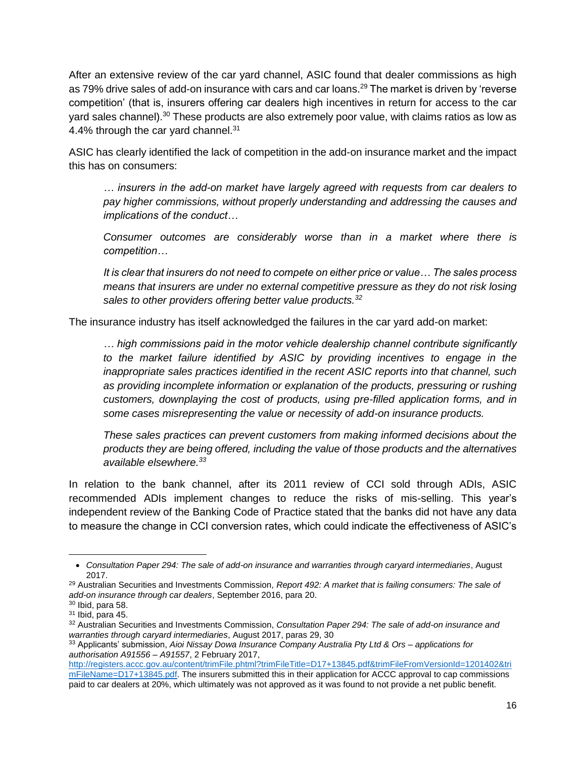After an extensive review of the car yard channel, ASIC found that dealer commissions as high as 79% drive sales of add-on insurance with cars and car loans.<sup>29</sup> The market is driven by 'reverse competition' (that is, insurers offering car dealers high incentives in return for access to the car yard sales channel).<sup>30</sup> These products are also extremely poor value, with claims ratios as low as 4.4% through the car yard channel.<sup>31</sup>

ASIC has clearly identified the lack of competition in the add-on insurance market and the impact this has on consumers:

*… insurers in the add-on market have largely agreed with requests from car dealers to pay higher commissions, without properly understanding and addressing the causes and implications of the conduct…*

*Consumer outcomes are considerably worse than in a market where there is competition…*

*It is clear that insurers do not need to compete on either price or value… The sales process means that insurers are under no external competitive pressure as they do not risk losing sales to other providers offering better value products.<sup>32</sup>*

The insurance industry has itself acknowledged the failures in the car yard add-on market:

*… high commissions paid in the motor vehicle dealership channel contribute significantly to the market failure identified by ASIC by providing incentives to engage in the inappropriate sales practices identified in the recent ASIC reports into that channel, such as providing incomplete information or explanation of the products, pressuring or rushing customers, downplaying the cost of products, using pre-filled application forms, and in some cases misrepresenting the value or necessity of add-on insurance products.*

*These sales practices can prevent customers from making informed decisions about the products they are being offered, including the value of those products and the alternatives available elsewhere.<sup>33</sup>*

In relation to the bank channel, after its 2011 review of CCI sold through ADIs, ASIC recommended ADIs implement changes to reduce the risks of mis-selling. This year's independent review of the Banking Code of Practice stated that the banks did not have any data to measure the change in CCI conversion rates, which could indicate the effectiveness of ASIC's

 $\overline{\phantom{a}}$ 

*Consultation Paper 294: The sale of add-on insurance and warranties through caryard intermediaries*, August 2017.

<sup>29</sup> Australian Securities and Investments Commission, *Report 492: A market that is failing consumers: The sale of add-on insurance through car dealers*, September 2016, para 20.

<sup>30</sup> Ibid, para 58.

 $31$  Ibid, para 45.

<sup>32</sup> Australian Securities and Investments Commission, *Consultation Paper 294: The sale of add-on insurance and warranties through caryard intermediaries*, August 2017, paras 29, 30

<sup>33</sup> Applicants' submission, *Aioi Nissay Dowa Insurance Company Australia Pty Ltd & Ors – applications for authorisation A91556 – A91557*, 2 February 2017,

[http://registers.accc.gov.au/content/trimFile.phtml?trimFileTitle=D17+13845.pdf&trimFileFromVersionId=1201402&tri](http://registers.accc.gov.au/content/trimFile.phtml?trimFileTitle=D17+13845.pdf&trimFileFromVersionId=1201402&trimFileName=D17+13845.pdf) [mFileName=D17+13845.pdf.](http://registers.accc.gov.au/content/trimFile.phtml?trimFileTitle=D17+13845.pdf&trimFileFromVersionId=1201402&trimFileName=D17+13845.pdf) The insurers submitted this in their application for ACCC approval to cap commissions paid to car dealers at 20%, which ultimately was not approved as it was found to not provide a net public benefit.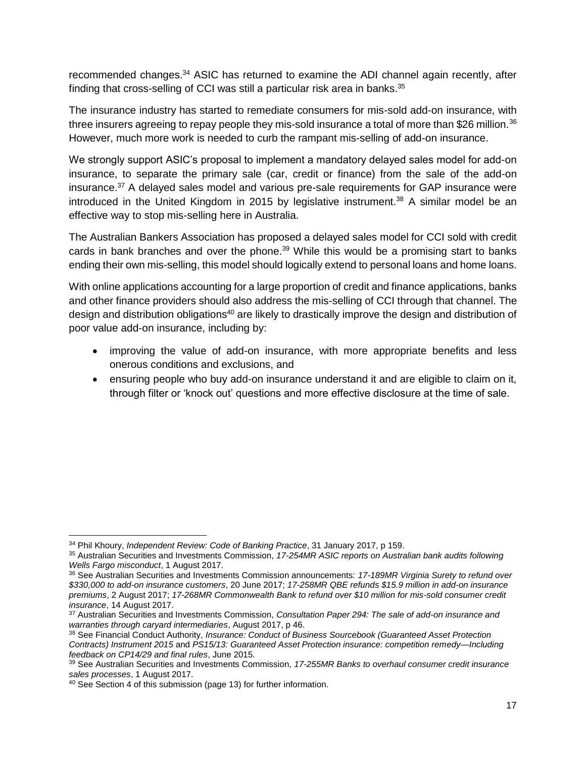recommended changes.<sup>34</sup> ASIC has returned to examine the ADI channel again recently, after finding that cross-selling of CCI was still a particular risk area in banks.<sup>35</sup>

The insurance industry has started to remediate consumers for mis-sold add-on insurance, with three insurers agreeing to repay people they mis-sold insurance a total of more than \$26 million.<sup>36</sup> However, much more work is needed to curb the rampant mis-selling of add-on insurance.

We strongly support ASIC's proposal to implement a mandatory delayed sales model for add-on insurance, to separate the primary sale (car, credit or finance) from the sale of the add-on insurance.<sup>37</sup> A delayed sales model and various pre-sale requirements for GAP insurance were introduced in the United Kingdom in 2015 by legislative instrument.<sup>38</sup> A similar model be an effective way to stop mis-selling here in Australia.

The Australian Bankers Association has proposed a delayed sales model for CCI sold with credit cards in bank branches and over the phone.<sup>39</sup> While this would be a promising start to banks ending their own mis-selling, this model should logically extend to personal loans and home loans.

With online applications accounting for a large proportion of credit and finance applications, banks and other finance providers should also address the mis-selling of CCI through that channel. The design and distribution obligations<sup>40</sup> are likely to drastically improve the design and distribution of poor value add-on insurance, including by:

- improving the value of add-on insurance, with more appropriate benefits and less onerous conditions and exclusions, and
- ensuring people who buy add-on insurance understand it and are eligible to claim on it, through filter or 'knock out' questions and more effective disclosure at the time of sale.

 $\overline{a}$ <sup>34</sup> Phil Khoury, *Independent Review: Code of Banking Practice*, 31 January 2017, p 159.

<sup>35</sup> Australian Securities and Investments Commission, *17-254MR ASIC reports on Australian bank audits following Wells Fargo misconduct*, 1 August 2017.

<sup>36</sup> See Australian Securities and Investments Commission announcements: *17-189MR Virginia Surety to refund over \$330,000 to add-on insurance customers*, 20 June 2017; *17-258MR QBE refunds \$15.9 million in add-on insurance premiums*, 2 August 2017; *17-268MR Commonwealth Bank to refund over \$10 million for mis-sold consumer credit insurance*, 14 August 2017.

<sup>37</sup> Australian Securities and Investments Commission, *Consultation Paper 294: The sale of add-on insurance and warranties through caryard intermediaries*, August 2017, p 46.

<sup>38</sup> See Financial Conduct Authority, *Insurance: Conduct of Business Sourcebook (Guaranteed Asset Protection Contracts) Instrument 2015* and *PS15/13: Guaranteed Asset Protection insurance: competition remedy—Including feedback on CP14/29 and final rules*, June 2015.

<sup>39</sup> See Australian Securities and Investments Commission, *17-255MR Banks to overhaul consumer credit insurance sales processes*, 1 August 2017.

<sup>&</sup>lt;sup>40</sup> See Section 4 of this submission (page 13) for further information.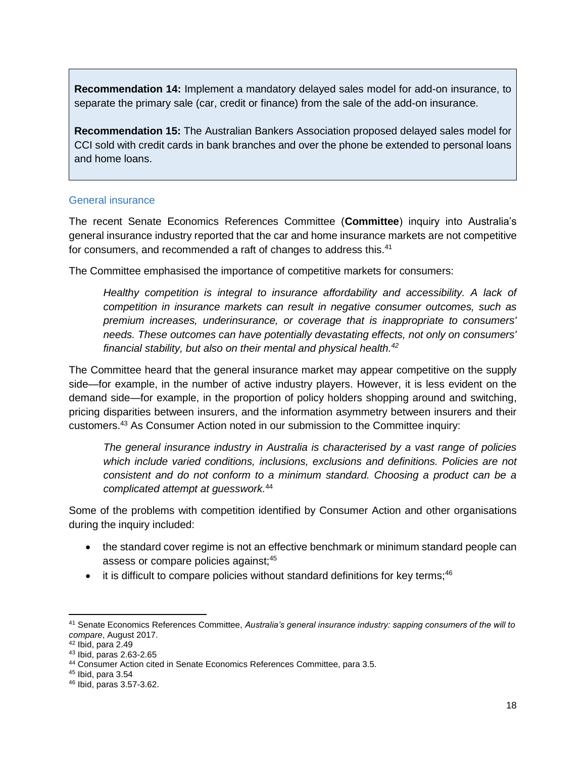**Recommendation 14:** Implement a mandatory delayed sales model for add-on insurance, to separate the primary sale (car, credit or finance) from the sale of the add-on insurance.

**Recommendation 15:** The Australian Bankers Association proposed delayed sales model for CCI sold with credit cards in bank branches and over the phone be extended to personal loans and home loans.

#### <span id="page-17-0"></span>General insurance

The recent Senate Economics References Committee (**Committee**) inquiry into Australia's general insurance industry reported that the car and home insurance markets are not competitive for consumers, and recommended a raft of changes to address this.<sup>41</sup>

The Committee emphasised the importance of competitive markets for consumers:

*Healthy competition is integral to insurance affordability and accessibility. A lack of competition in insurance markets can result in negative consumer outcomes, such as premium increases, underinsurance, or coverage that is inappropriate to consumers' needs. These outcomes can have potentially devastating effects, not only on consumers' financial stability, but also on their mental and physical health.<sup>42</sup>*

The Committee heard that the general insurance market may appear competitive on the supply side—for example, in the number of active industry players. However, it is less evident on the demand side—for example, in the proportion of policy holders shopping around and switching, pricing disparities between insurers, and the information asymmetry between insurers and their customers.<sup>43</sup> As Consumer Action noted in our submission to the Committee inquiry:

*The general insurance industry in Australia is characterised by a vast range of policies which include varied conditions, inclusions, exclusions and definitions. Policies are not consistent and do not conform to a minimum standard. Choosing a product can be a complicated attempt at guesswork.*<sup>44</sup>

Some of the problems with competition identified by Consumer Action and other organisations during the inquiry included:

- the standard cover regime is not an effective benchmark or minimum standard people can assess or compare policies against;<sup>45</sup>
- $\bullet$  it is difficult to compare policies without standard definitions for key terms;<sup>46</sup>

 $\overline{a}$ 

<sup>41</sup> Senate Economics References Committee, *Australia's general insurance industry: sapping consumers of the will to compare*, August 2017.

 $42$  Ibid, para  $2.49$ 

<sup>43</sup> Ibid, paras 2.63-2.65

<sup>44</sup> Consumer Action cited in Senate Economics References Committee, para 3.5.

<sup>45</sup> Ibid, para 3.54

<sup>46</sup> Ibid, paras 3.57-3.62.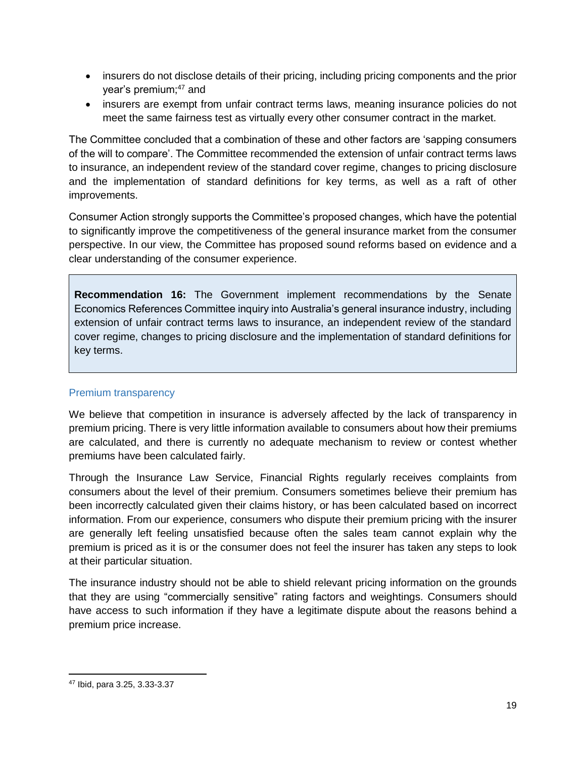- insurers do not disclose details of their pricing, including pricing components and the prior year's premium;<sup>47</sup> and
- insurers are exempt from unfair contract terms laws, meaning insurance policies do not meet the same fairness test as virtually every other consumer contract in the market.

The Committee concluded that a combination of these and other factors are 'sapping consumers of the will to compare'. The Committee recommended the extension of unfair contract terms laws to insurance, an independent review of the standard cover regime, changes to pricing disclosure and the implementation of standard definitions for key terms, as well as a raft of other improvements.

Consumer Action strongly supports the Committee's proposed changes, which have the potential to significantly improve the competitiveness of the general insurance market from the consumer perspective. In our view, the Committee has proposed sound reforms based on evidence and a clear understanding of the consumer experience.

**Recommendation 16:** The Government implement recommendations by the Senate Economics References Committee inquiry into Australia's general insurance industry, including extension of unfair contract terms laws to insurance, an independent review of the standard cover regime, changes to pricing disclosure and the implementation of standard definitions for key terms.

#### <span id="page-18-0"></span>Premium transparency

We believe that competition in insurance is adversely affected by the lack of transparency in premium pricing. There is very little information available to consumers about how their premiums are calculated, and there is currently no adequate mechanism to review or contest whether premiums have been calculated fairly.

Through the Insurance Law Service, Financial Rights regularly receives complaints from consumers about the level of their premium. Consumers sometimes believe their premium has been incorrectly calculated given their claims history, or has been calculated based on incorrect information. From our experience, consumers who dispute their premium pricing with the insurer are generally left feeling unsatisfied because often the sales team cannot explain why the premium is priced as it is or the consumer does not feel the insurer has taken any steps to look at their particular situation.

The insurance industry should not be able to shield relevant pricing information on the grounds that they are using "commercially sensitive" rating factors and weightings. Consumers should have access to such information if they have a legitimate dispute about the reasons behind a premium price increase.

 $\overline{\phantom{a}}$ 

<sup>47</sup> Ibid, para 3.25, 3.33-3.37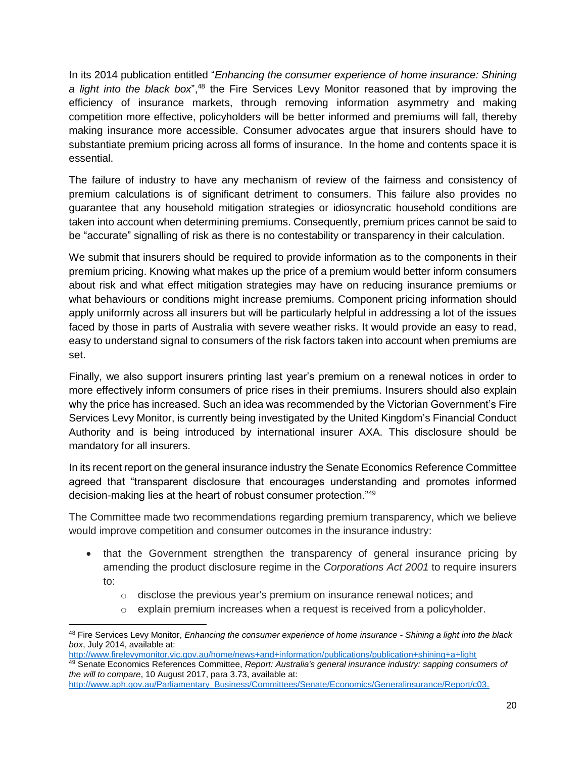In its 2014 publication entitled "*Enhancing the consumer experience of home insurance: Shining a light into the black box*",<sup>48</sup> the Fire Services Levy Monitor reasoned that by improving the efficiency of insurance markets, through removing information asymmetry and making competition more effective, policyholders will be better informed and premiums will fall, thereby making insurance more accessible. Consumer advocates argue that insurers should have to substantiate premium pricing across all forms of insurance. In the home and contents space it is essential.

The failure of industry to have any mechanism of review of the fairness and consistency of premium calculations is of significant detriment to consumers. This failure also provides no guarantee that any household mitigation strategies or idiosyncratic household conditions are taken into account when determining premiums. Consequently, premium prices cannot be said to be "accurate" signalling of risk as there is no contestability or transparency in their calculation.

We submit that insurers should be required to provide information as to the components in their premium pricing. Knowing what makes up the price of a premium would better inform consumers about risk and what effect mitigation strategies may have on reducing insurance premiums or what behaviours or conditions might increase premiums. Component pricing information should apply uniformly across all insurers but will be particularly helpful in addressing a lot of the issues faced by those in parts of Australia with severe weather risks. It would provide an easy to read, easy to understand signal to consumers of the risk factors taken into account when premiums are set.

Finally, we also support insurers printing last year's premium on a renewal notices in order to more effectively inform consumers of price rises in their premiums. Insurers should also explain why the price has increased. Such an idea was recommended by the Victorian Government's Fire Services Levy Monitor, is currently being investigated by the United Kingdom's Financial Conduct Authority and is being introduced by international insurer AXA. This disclosure should be mandatory for all insurers.

In its recent report on the general insurance industry the Senate Economics Reference Committee agreed that "transparent disclosure that encourages understanding and promotes informed decision-making lies at the heart of robust consumer protection."<sup>49</sup>

The Committee made two recommendations regarding premium transparency, which we believe would improve competition and consumer outcomes in the insurance industry:

- that the Government strengthen the transparency of general insurance pricing by amending the product disclosure regime in the *Corporations Act 2001* to require insurers to:
	- o disclose the previous year's premium on insurance renewal notices; and
	- $\circ$  explain premium increases when a request is received from a policyholder.

 $\overline{\phantom{a}}$ <sup>48</sup> Fire Services Levy Monitor, *Enhancing the consumer experience of home insurance - Shining a light into the black box*, July 2014, available at:

<http://www.firelevymonitor.vic.gov.au/home/news+and+information/publications/publication+shining+a+light> <sup>49</sup> Senate Economics References Committee, *Report: Australia's general insurance industry: sapping consumers of the will to compare*, 10 August 2017, para 3.73, available at:

[http://www.aph.gov.au/Parliamentary\\_Business/Committees/Senate/Economics/Generalinsurance/Report/c03.](http://www.aph.gov.au/Parliamentary_Business/Committees/Senate/Economics/Generalinsurance/Report/c03)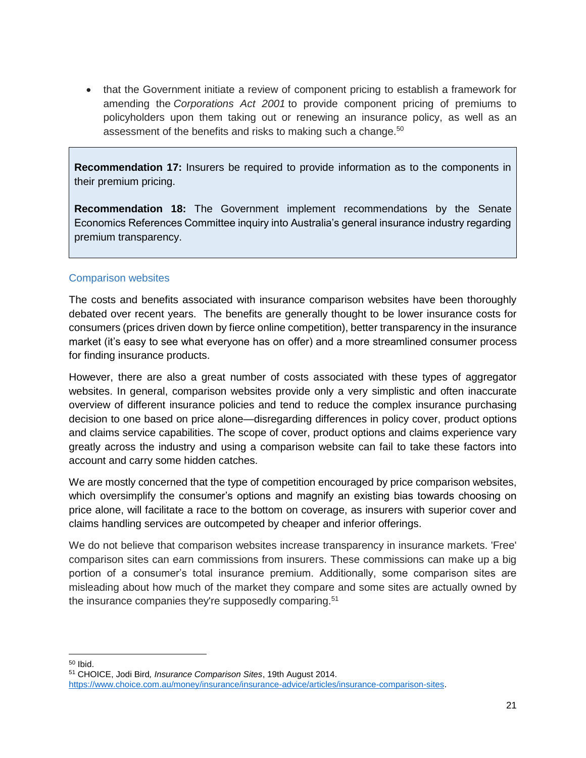• that the Government initiate a review of component pricing to establish a framework for amending the *Corporations Act 2001* to provide component pricing of premiums to policyholders upon them taking out or renewing an insurance policy, as well as an assessment of the benefits and risks to making such a change.<sup>50</sup>

**Recommendation 17:** Insurers be required to provide information as to the components in their premium pricing.

**Recommendation 18:** The Government implement recommendations by the Senate Economics References Committee inquiry into Australia's general insurance industry regarding premium transparency.

### <span id="page-20-0"></span>Comparison websites

The costs and benefits associated with insurance comparison websites have been thoroughly debated over recent years. The benefits are generally thought to be lower insurance costs for consumers (prices driven down by fierce online competition), better transparency in the insurance market (it's easy to see what everyone has on offer) and a more streamlined consumer process for finding insurance products.

However, there are also a great number of costs associated with these types of aggregator websites. In general, comparison websites provide only a very simplistic and often inaccurate overview of different insurance policies and tend to reduce the complex insurance purchasing decision to one based on price alone—disregarding differences in policy cover, product options and claims service capabilities. The scope of cover, product options and claims experience vary greatly across the industry and using a comparison website can fail to take these factors into account and carry some hidden catches.

We are mostly concerned that the type of competition encouraged by price comparison websites, which oversimplify the consumer's options and magnify an existing bias towards choosing on price alone, will facilitate a race to the bottom on coverage, as insurers with superior cover and claims handling services are outcompeted by cheaper and inferior offerings.

We do not believe that comparison websites increase transparency in insurance markets. 'Free' comparison sites can earn commissions from insurers. These commissions can make up a big portion of a consumer's total insurance premium. Additionally, some comparison sites are misleading about how much of the market they compare and some sites are actually owned by the insurance companies they're supposedly comparing.<sup>51</sup>

l <sup>50</sup> Ibid.

<sup>51</sup> CHOICE, Jodi Bird*, Insurance Comparison Sites*, 19th August 2014. [https://www.choice.com.au/money/insurance/insurance-advice/articles/insurance-comparison-sites.](https://www.choice.com.au/money/insurance/insurance-advice/articles/insurance-comparison-sites)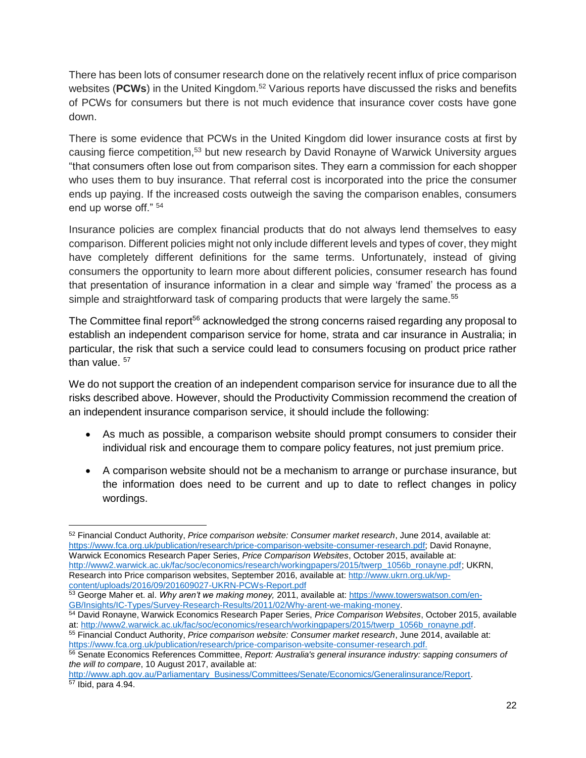There has been lots of consumer research done on the relatively recent influx of price comparison websites (**PCWs**) in the United Kingdom.<sup>52</sup> Various reports have discussed the risks and benefits of PCWs for consumers but there is not much evidence that insurance cover costs have gone down.

There is some evidence that PCWs in the United Kingdom did lower insurance costs at first by causing fierce competition,<sup>53</sup> but new research by David Ronayne of Warwick University argues "that consumers often lose out from comparison sites. They earn a commission for each shopper who uses them to buy insurance. That referral cost is incorporated into the price the consumer ends up paying. If the increased costs outweigh the saving the comparison enables, consumers end up worse off." <sup>54</sup>

Insurance policies are complex financial products that do not always lend themselves to easy comparison. Different policies might not only include different levels and types of cover, they might have completely different definitions for the same terms. Unfortunately, instead of giving consumers the opportunity to learn more about different policies, consumer research has found that presentation of insurance information in a clear and simple way 'framed' the process as a simple and straightforward task of comparing products that were largely the same.<sup>55</sup>

The Committee final report<sup>56</sup> acknowledged the strong concerns raised regarding any proposal to establish an independent comparison service for home, strata and car insurance in Australia; in particular, the risk that such a service could lead to consumers focusing on product price rather than value.  $57$ 

We do not support the creation of an independent comparison service for insurance due to all the risks described above. However, should the Productivity Commission recommend the creation of an independent insurance comparison service, it should include the following:

- As much as possible, a comparison website should prompt consumers to consider their individual risk and encourage them to compare policy features, not just premium price.
- A comparison website should not be a mechanism to arrange or purchase insurance, but the information does need to be current and up to date to reflect changes in policy wordings.

<sup>53</sup> George Maher et. al. *Why aren't we making money,* 2011, available at: [https://www.towerswatson.com/en-](https://www.towerswatson.com/en-GB/Insights/IC-Types/Survey-Research-Results/2011/02/Why-arent-we-making-money)[GB/Insights/IC-Types/Survey-Research-Results/2011/02/Why-arent-we-making-money.](https://www.towerswatson.com/en-GB/Insights/IC-Types/Survey-Research-Results/2011/02/Why-arent-we-making-money)

 $\overline{\phantom{a}}$ <sup>52</sup> Financial Conduct Authority, *Price comparison website: Consumer market research*, June 2014, available at: [https://www.fca.org.uk/publication/research/price-comparison-website-consumer-research.pdf;](https://www.fca.org.uk/publication/research/price-comparison-website-consumer-research.pdf) David Ronayne, Warwick Economics Research Paper Series, *Price Comparison Websites*, October 2015, available at: [http://www2.warwick.ac.uk/fac/soc/economics/research/workingpapers/2015/twerp\\_1056b\\_ronayne.pdf;](http://www2.warwick.ac.uk/fac/soc/economics/research/workingpapers/2015/twerp_1056b_ronayne.pdf) UKRN, Research into Price comparison websites, September 2016, available at: [http://www.ukrn.org.uk/wp](http://www.ukrn.org.uk/wp-content/uploads/2016/09/201609027-UKRN-PCWs-Report.pdf)[content/uploads/2016/09/201609027-UKRN-PCWs-Report.pdf](http://www.ukrn.org.uk/wp-content/uploads/2016/09/201609027-UKRN-PCWs-Report.pdf) 

<sup>54</sup> David Ronayne, Warwick Economics Research Paper Series, *Price Comparison Websites*, October 2015, available at[: http://www2.warwick.ac.uk/fac/soc/economics/research/workingpapers/2015/twerp\\_1056b\\_ronayne.pdf.](http://www2.warwick.ac.uk/fac/soc/economics/research/workingpapers/2015/twerp_1056b_ronayne.pdf)

<sup>55</sup> Financial Conduct Authority, *Price comparison website: Consumer market research*, June 2014, available at: [https://www.fca.org.uk/publication/research/price-comparison-website-consumer-research.pdf.](https://www.fca.org.uk/publication/research/price-comparison-website-consumer-research.pdf)

<sup>56</sup> Senate Economics References Committee, *Report: Australia's general insurance industry: sapping consumers of the will to compare*, 10 August 2017, available at:

[http://www.aph.gov.au/Parliamentary\\_Business/Committees/Senate/Economics/Generalinsurance/Report.](http://www.aph.gov.au/Parliamentary_Business/Committees/Senate/Economics/Generalinsurance/Report)  $\overline{57}$  Ibid, para 4.94.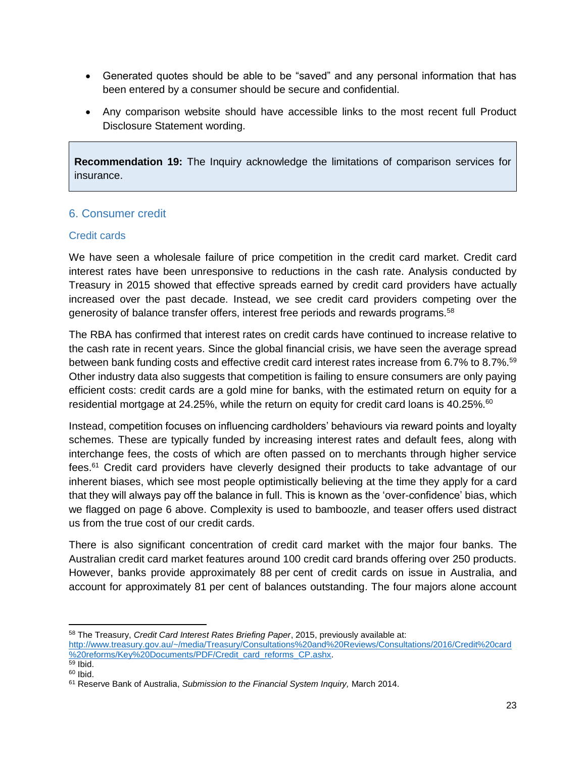- Generated quotes should be able to be "saved" and any personal information that has been entered by a consumer should be secure and confidential.
- Any comparison website should have accessible links to the most recent full Product Disclosure Statement wording.

**Recommendation 19:** The Inquiry acknowledge the limitations of comparison services for insurance.

# <span id="page-22-0"></span>6. Consumer credit

### <span id="page-22-1"></span>Credit cards

We have seen a wholesale failure of price competition in the credit card market. Credit card interest rates have been unresponsive to reductions in the cash rate. Analysis conducted by Treasury in 2015 showed that effective spreads earned by credit card providers have actually increased over the past decade. Instead, we see credit card providers competing over the generosity of balance transfer offers, interest free periods and rewards programs.<sup>58</sup>

The RBA has confirmed that interest rates on credit cards have continued to increase relative to the cash rate in recent years. Since the global financial crisis, we have seen the average spread between bank funding costs and effective credit card interest rates increase from 6.7% to 8.7%.<sup>59</sup> Other industry data also suggests that competition is failing to ensure consumers are only paying efficient costs: credit cards are a gold mine for banks, with the estimated return on equity for a residential mortgage at 24.25%, while the return on equity for credit card loans is 40.25%.<sup>60</sup>

Instead, competition focuses on influencing cardholders' behaviours via reward points and loyalty schemes. These are typically funded by increasing interest rates and default fees, along with interchange fees, the costs of which are often passed on to merchants through higher service fees.<sup>61</sup> Credit card providers have cleverly designed their products to take advantage of our inherent biases, which see most people optimistically believing at the time they apply for a card that they will always pay off the balance in full. This is known as the 'over-confidence' bias, which we flagged on page 6 above. Complexity is used to bamboozle, and teaser offers used distract us from the true cost of our credit cards.

There is also significant concentration of credit card market with the major four banks. The Australian credit card market features around 100 credit card brands offering over 250 products. However, banks provide approximately 88 per cent of credit cards on issue in Australia, and account for approximately 81 per cent of balances outstanding. The four majors alone account

 $\overline{\phantom{a}}$ <sup>58</sup> The Treasury, *Credit Card Interest Rates Briefing Paper*, 2015, previously available at:

[http://www.treasury.gov.au/~/media/Treasury/Consultations%20and%20Reviews/Consultations/2016/Credit%20card](http://www.treasury.gov.au/~/media/Treasury/Consultations%20and%20Reviews/Consultations/2016/Credit%20card%20reforms/Key%20Documents/PDF/Credit_card_reforms_CP.ashx) [%20reforms/Key%20Documents/PDF/Credit\\_card\\_reforms\\_CP.ashx.](http://www.treasury.gov.au/~/media/Treasury/Consultations%20and%20Reviews/Consultations/2016/Credit%20card%20reforms/Key%20Documents/PDF/Credit_card_reforms_CP.ashx)

 $\overline{59}$  Ibid.

 $60$  Ibid.

<sup>61</sup> Reserve Bank of Australia, *Submission to the Financial System Inquiry,* March 2014.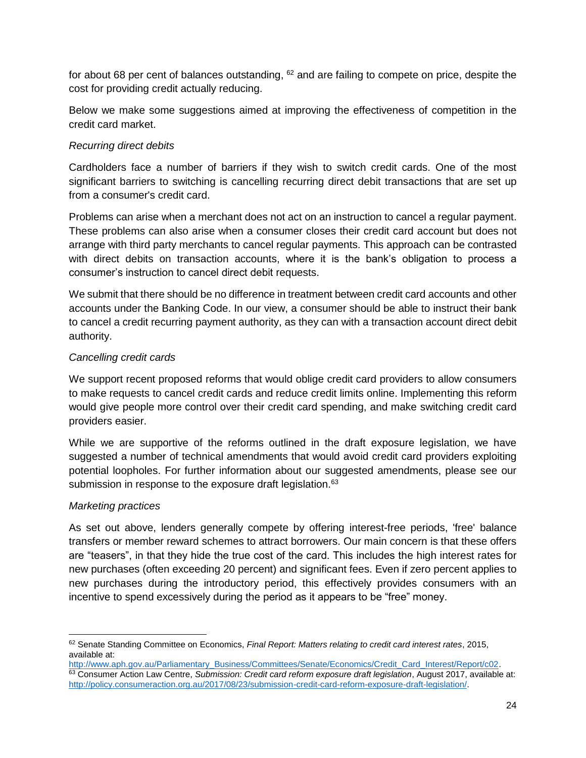for about 68 per cent of balances outstanding,  $62$  and are failing to compete on price, despite the cost for providing credit actually reducing.

Below we make some suggestions aimed at improving the effectiveness of competition in the credit card market.

### *Recurring direct debits*

Cardholders face a number of barriers if they wish to switch credit cards. One of the most significant barriers to switching is cancelling recurring direct debit transactions that are set up from a consumer's credit card.

Problems can arise when a merchant does not act on an instruction to cancel a regular payment. These problems can also arise when a consumer closes their credit card account but does not arrange with third party merchants to cancel regular payments. This approach can be contrasted with direct debits on transaction accounts, where it is the bank's obligation to process a consumer's instruction to cancel direct debit requests.

We submit that there should be no difference in treatment between credit card accounts and other accounts under the Banking Code. In our view, a consumer should be able to instruct their bank to cancel a credit recurring payment authority, as they can with a transaction account direct debit authority.

#### *Cancelling credit cards*

We support recent proposed reforms that would oblige credit card providers to allow consumers to make requests to cancel credit cards and reduce credit limits online. Implementing this reform would give people more control over their credit card spending, and make switching credit card providers easier.

While we are supportive of the reforms outlined in the draft exposure legislation, we have suggested a number of technical amendments that would avoid credit card providers exploiting potential loopholes. For further information about our suggested amendments, please see our submission in response to the exposure draft legislation.<sup>63</sup>

#### *Marketing practices*

As set out above, lenders generally compete by offering interest-free periods, 'free' balance transfers or member reward schemes to attract borrowers. Our main concern is that these offers are "teasers", in that they hide the true cost of the card. This includes the high interest rates for new purchases (often exceeding 20 percent) and significant fees. Even if zero percent applies to new purchases during the introductory period, this effectively provides consumers with an incentive to spend excessively during the period as it appears to be "free" money.

l <sup>62</sup> Senate Standing Committee on Economics, *Final Report: Matters relating to credit card interest rates*, 2015, available at:

[http://www.aph.gov.au/Parliamentary\\_Business/Committees/Senate/Economics/Credit\\_Card\\_Interest/Report/c02.](http://www.aph.gov.au/Parliamentary_Business/Committees/Senate/Economics/Credit_Card_Interest/Report/c02) <sup>63</sup> Consumer Action Law Centre, *Submission: Credit card reform exposure draft legislation*, August 2017, available at: [http://policy.consumeraction.org.au/2017/08/23/submission-credit-card-reform-exposure-draft-legislation/.](http://policy.consumeraction.org.au/2017/08/23/submission-credit-card-reform-exposure-draft-legislation/)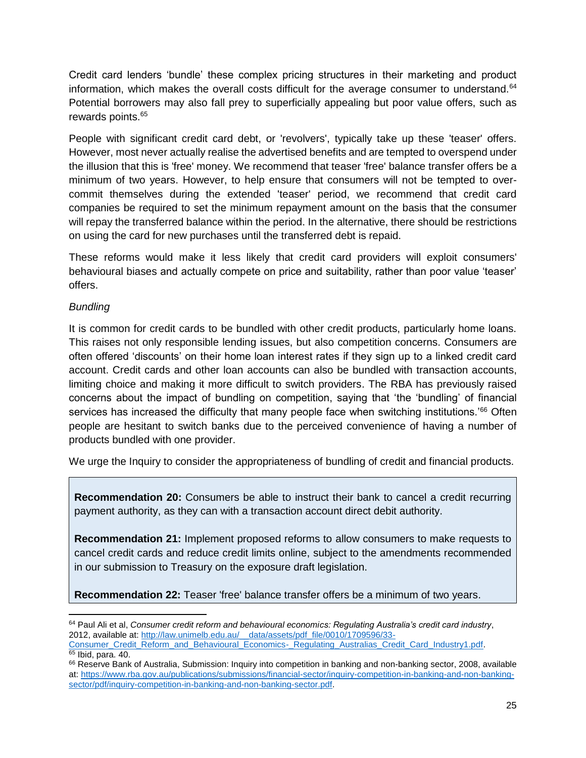Credit card lenders 'bundle' these complex pricing structures in their marketing and product information, which makes the overall costs difficult for the average consumer to understand.<sup>64</sup> Potential borrowers may also fall prey to superficially appealing but poor value offers, such as rewards points.<sup>65</sup>

People with significant credit card debt, or 'revolvers', typically take up these 'teaser' offers. However, most never actually realise the advertised benefits and are tempted to overspend under the illusion that this is 'free' money. We recommend that teaser 'free' balance transfer offers be a minimum of two years. However, to help ensure that consumers will not be tempted to overcommit themselves during the extended 'teaser' period, we recommend that credit card companies be required to set the minimum repayment amount on the basis that the consumer will repay the transferred balance within the period. In the alternative, there should be restrictions on using the card for new purchases until the transferred debt is repaid.

These reforms would make it less likely that credit card providers will exploit consumers' behavioural biases and actually compete on price and suitability, rather than poor value 'teaser' offers.

# *Bundling*

It is common for credit cards to be bundled with other credit products, particularly home loans. This raises not only responsible lending issues, but also competition concerns. Consumers are often offered 'discounts' on their home loan interest rates if they sign up to a linked credit card account. Credit cards and other loan accounts can also be bundled with transaction accounts, limiting choice and making it more difficult to switch providers. The RBA has previously raised concerns about the impact of bundling on competition, saying that 'the 'bundling' of financial services has increased the difficulty that many people face when switching institutions.<sup>766</sup> Often people are hesitant to switch banks due to the perceived convenience of having a number of products bundled with one provider.

We urge the Inquiry to consider the appropriateness of bundling of credit and financial products.

**Recommendation 20:** Consumers be able to instruct their bank to cancel a credit recurring payment authority, as they can with a transaction account direct debit authority.

**Recommendation 21:** Implement proposed reforms to allow consumers to make requests to cancel credit cards and reduce credit limits online, subject to the amendments recommended in our submission to Treasury on the exposure draft legislation.

**Recommendation 22:** Teaser 'free' balance transfer offers be a minimum of two years.

 $\overline{a}$ <sup>64</sup> Paul Ali et al, *Consumer credit reform and behavioural economics: Regulating Australia's credit card industry*, 2012, available at[: http://law.unimelb.edu.au/\\_\\_data/assets/pdf\\_file/0010/1709596/33-](http://law.unimelb.edu.au/__data/assets/pdf_file/0010/1709596/33-Consumer_Credit_Reform_and_Behavioural_Economics-_Regulating_Australias_Credit_Card_Industry1.pdf)

[Consumer\\_Credit\\_Reform\\_and\\_Behavioural\\_Economics-\\_Regulating\\_Australias\\_Credit\\_Card\\_Industry1.pdf.](http://law.unimelb.edu.au/__data/assets/pdf_file/0010/1709596/33-Consumer_Credit_Reform_and_Behavioural_Economics-_Regulating_Australias_Credit_Card_Industry1.pdf)  $65$  Ibid, para. 40.

<sup>&</sup>lt;sup>66</sup> Reserve Bank of Australia, Submission: Inquiry into competition in banking and non-banking sector, 2008, available at[: https://www.rba.gov.au/publications/submissions/financial-sector/inquiry-competition-in-banking-and-non-banking](https://www.rba.gov.au/publications/submissions/financial-sector/inquiry-competition-in-banking-and-non-banking-sector/pdf/inquiry-competition-in-banking-and-non-banking-sector.pdf)[sector/pdf/inquiry-competition-in-banking-and-non-banking-sector.pdf.](https://www.rba.gov.au/publications/submissions/financial-sector/inquiry-competition-in-banking-and-non-banking-sector/pdf/inquiry-competition-in-banking-and-non-banking-sector.pdf)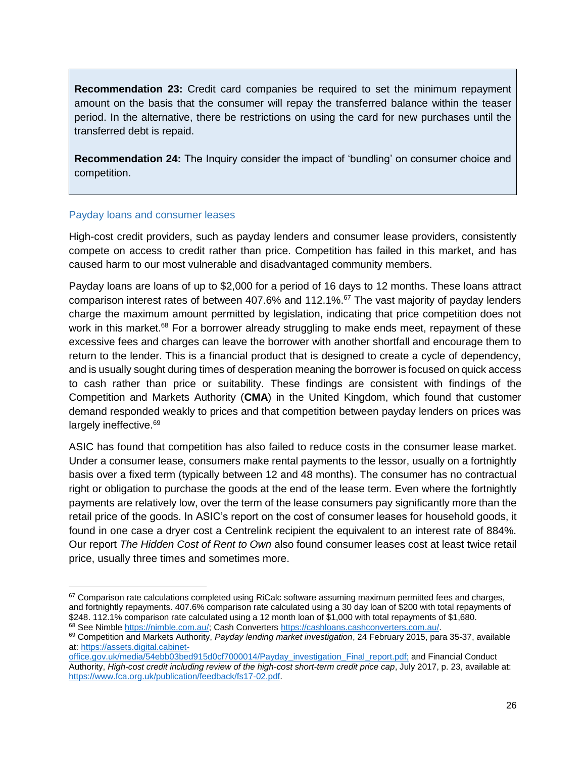**Recommendation 23:** Credit card companies be required to set the minimum repayment amount on the basis that the consumer will repay the transferred balance within the teaser period. In the alternative, there be restrictions on using the card for new purchases until the transferred debt is repaid.

**Recommendation 24:** The Inquiry consider the impact of 'bundling' on consumer choice and competition.

#### <span id="page-25-0"></span>Payday loans and consumer leases

 $\overline{\phantom{a}}$ 

High-cost credit providers, such as payday lenders and consumer lease providers, consistently compete on access to credit rather than price. Competition has failed in this market, and has caused harm to our most vulnerable and disadvantaged community members.

Payday loans are loans of up to \$2,000 for a period of 16 days to 12 months. These loans attract comparison interest rates of between 407.6% and 112.1%.<sup>67</sup> The vast majority of payday lenders charge the maximum amount permitted by legislation, indicating that price competition does not work in this market.<sup>68</sup> For a borrower already struggling to make ends meet, repayment of these excessive fees and charges can leave the borrower with another shortfall and encourage them to return to the lender. This is a financial product that is designed to create a cycle of dependency, and is usually sought during times of desperation meaning the borrower is focused on quick access to cash rather than price or suitability. These findings are consistent with findings of the Competition and Markets Authority (**CMA**) in the United Kingdom, which found that customer demand responded weakly to prices and that competition between payday lenders on prices was largely ineffective.<sup>69</sup>

ASIC has found that competition has also failed to reduce costs in the consumer lease market. Under a consumer lease, consumers make rental payments to the lessor, usually on a fortnightly basis over a fixed term (typically between 12 and 48 months). The consumer has no contractual right or obligation to purchase the goods at the end of the lease term. Even where the fortnightly payments are relatively low, over the term of the lease consumers pay significantly more than the retail price of the goods. In ASIC's report on the cost of consumer leases for household goods, it found in one case a dryer cost a Centrelink recipient the equivalent to an interest rate of 884%. Our report *The Hidden Cost of Rent to Own* also found consumer leases cost at least twice retail price, usually three times and sometimes more.

<sup>67</sup> Comparison rate calculations completed using RiCalc software assuming maximum permitted fees and charges, and fortnightly repayments. 407.6% comparison rate calculated using a 30 day loan of \$200 with total repayments of \$248. 112.1% comparison rate calculated using a 12 month loan of \$1,000 with total repayments of \$1,680. 68 See Nimble [https://nimble.com.au/;](https://nimble.com.au/) Cash Converters [https://cashloans.cashconverters.com.au/.](https://cashloans.cashconverters.com.au/)

<sup>69</sup> Competition and Markets Authority, *Payday lending market investigation*, 24 February 2015, para 35-37, available at[: https://assets.digital.cabinet-](https://assets.digital.cabinet-office.gov.uk/media/54ebb03bed915d0cf7000014/Payday_investigation_Final_report.pdf)

[office.gov.uk/media/54ebb03bed915d0cf7000014/Payday\\_investigation\\_Final\\_report.pdf;](https://assets.digital.cabinet-office.gov.uk/media/54ebb03bed915d0cf7000014/Payday_investigation_Final_report.pdf) and Financial Conduct Authority, *High-cost credit including review of the high-cost short-term credit price cap*, July 2017, p. 23, available at: [https://www.fca.org.uk/publication/feedback/fs17-02.pdf.](https://www.fca.org.uk/publication/feedback/fs17-02.pdf)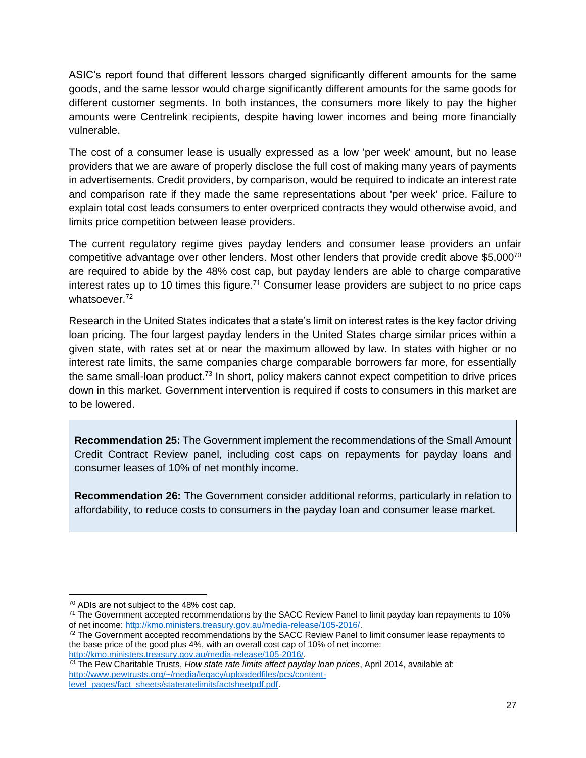ASIC's report found that different lessors charged significantly different amounts for the same goods, and the same lessor would charge significantly different amounts for the same goods for different customer segments. In both instances, the consumers more likely to pay the higher amounts were Centrelink recipients, despite having lower incomes and being more financially vulnerable.

The cost of a consumer lease is usually expressed as a low 'per week' amount, but no lease providers that we are aware of properly disclose the full cost of making many years of payments in advertisements. Credit providers, by comparison, would be required to indicate an interest rate and comparison rate if they made the same representations about 'per week' price. Failure to explain total cost leads consumers to enter overpriced contracts they would otherwise avoid, and limits price competition between lease providers.

The current regulatory regime gives payday lenders and consumer lease providers an unfair competitive advantage over other lenders. Most other lenders that provide credit above \$5,000<sup>70</sup> are required to abide by the 48% cost cap, but payday lenders are able to charge comparative interest rates up to 10 times this figure.<sup>71</sup> Consumer lease providers are subject to no price caps whatsoever.<sup>72</sup>

Research in the United States indicates that a state's limit on interest rates is the key factor driving loan pricing. The four largest payday lenders in the United States charge similar prices within a given state, with rates set at or near the maximum allowed by law. In states with higher or no interest rate limits, the same companies charge comparable borrowers far more, for essentially the same small-loan product.<sup>73</sup> In short, policy makers cannot expect competition to drive prices down in this market. Government intervention is required if costs to consumers in this market are to be lowered.

**Recommendation 25:** The Government implement the recommendations of the Small Amount Credit Contract Review panel, including cost caps on repayments for payday loans and consumer leases of 10% of net monthly income.

**Recommendation 26:** The Government consider additional reforms, particularly in relation to affordability, to reduce costs to consumers in the payday loan and consumer lease market.

 $\overline{\phantom{a}}$ <sup>70</sup> ADIs are not subject to the 48% cost cap.

<sup>&</sup>lt;sup>71</sup> The Government accepted recommendations by the SACC Review Panel to limit payday loan repayments to 10% of net income: [http://kmo.ministers.treasury.gov.au/media-release/105-2016/.](http://kmo.ministers.treasury.gov.au/media-release/105-2016/)

<sup>&</sup>lt;sup>72</sup> The Government accepted recommendations by the SACC Review Panel to limit consumer lease repayments to the base price of the good plus 4%, with an overall cost cap of 10% of net income: [http://kmo.ministers.treasury.gov.au/media-release/105-2016/.](http://kmo.ministers.treasury.gov.au/media-release/105-2016/)

<sup>73</sup> The Pew Charitable Trusts, *How state rate limits affect payday loan prices*, April 2014, available at: [http://www.pewtrusts.org/~/media/legacy/uploadedfiles/pcs/content](http://www.pewtrusts.org/~/media/legacy/uploadedfiles/pcs/content-level_pages/fact_sheets/stateratelimitsfactsheetpdf.pdf)[level\\_pages/fact\\_sheets/stateratelimitsfactsheetpdf.pdf.](http://www.pewtrusts.org/~/media/legacy/uploadedfiles/pcs/content-level_pages/fact_sheets/stateratelimitsfactsheetpdf.pdf)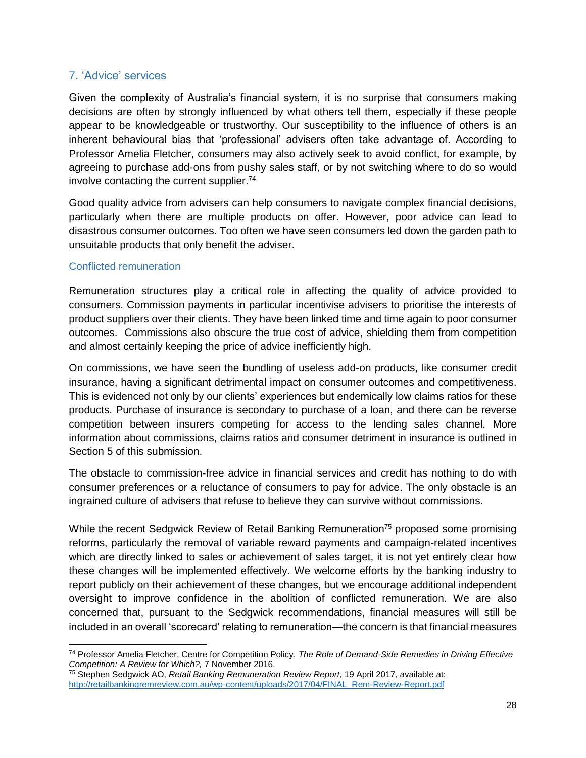### <span id="page-27-0"></span>7. 'Advice' services

Given the complexity of Australia's financial system, it is no surprise that consumers making decisions are often by strongly influenced by what others tell them, especially if these people appear to be knowledgeable or trustworthy. Our susceptibility to the influence of others is an inherent behavioural bias that 'professional' advisers often take advantage of. According to Professor Amelia Fletcher, consumers may also actively seek to avoid conflict, for example, by agreeing to purchase add-ons from pushy sales staff, or by not switching where to do so would involve contacting the current supplier.<sup>74</sup>

Good quality advice from advisers can help consumers to navigate complex financial decisions, particularly when there are multiple products on offer. However, poor advice can lead to disastrous consumer outcomes. Too often we have seen consumers led down the garden path to unsuitable products that only benefit the adviser.

#### <span id="page-27-1"></span>Conflicted remuneration

 $\overline{\phantom{a}}$ 

Remuneration structures play a critical role in affecting the quality of advice provided to consumers. Commission payments in particular incentivise advisers to prioritise the interests of product suppliers over their clients. They have been linked time and time again to poor consumer outcomes. Commissions also obscure the true cost of advice, shielding them from competition and almost certainly keeping the price of advice inefficiently high.

On commissions, we have seen the bundling of useless add-on products, like consumer credit insurance, having a significant detrimental impact on consumer outcomes and competitiveness. This is evidenced not only by our clients' experiences but endemically low claims ratios for these products. Purchase of insurance is secondary to purchase of a loan, and there can be reverse competition between insurers competing for access to the lending sales channel. More information about commissions, claims ratios and consumer detriment in insurance is outlined in Section 5 of this submission.

The obstacle to commission-free advice in financial services and credit has nothing to do with consumer preferences or a reluctance of consumers to pay for advice. The only obstacle is an ingrained culture of advisers that refuse to believe they can survive without commissions.

While the recent Sedgwick Review of Retail Banking Remuneration<sup>75</sup> proposed some promising reforms, particularly the removal of variable reward payments and campaign-related incentives which are directly linked to sales or achievement of sales target, it is not yet entirely clear how these changes will be implemented effectively. We welcome efforts by the banking industry to report publicly on their achievement of these changes, but we encourage additional independent oversight to improve confidence in the abolition of conflicted remuneration. We are also concerned that, pursuant to the Sedgwick recommendations, financial measures will still be included in an overall 'scorecard' relating to remuneration—the concern is that financial measures

<sup>74</sup> Professor Amelia Fletcher, Centre for Competition Policy, *The Role of Demand-Side Remedies in Driving Effective Competition: A Review for Which?,* 7 November 2016.

<sup>75</sup> Stephen Sedgwick AO, *Retail Banking Remuneration Review Report,* 19 April 2017, available at: [http://retailbankingremreview.com.au/wp-content/uploads/2017/04/FINAL\\_Rem-Review-Report.pdf](http://retailbankingremreview.com.au/wp-content/uploads/2017/04/FINAL_Rem-Review-Report.pdf)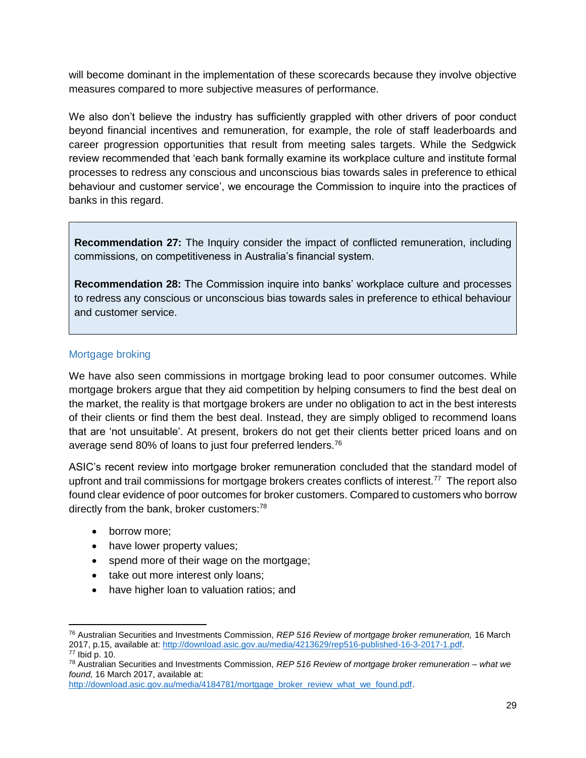will become dominant in the implementation of these scorecards because they involve objective measures compared to more subjective measures of performance.

We also don't believe the industry has sufficiently grappled with other drivers of poor conduct beyond financial incentives and remuneration, for example, the role of staff leaderboards and career progression opportunities that result from meeting sales targets. While the Sedgwick review recommended that 'each bank formally examine its workplace culture and institute formal processes to redress any conscious and unconscious bias towards sales in preference to ethical behaviour and customer service', we encourage the Commission to inquire into the practices of banks in this regard.

**Recommendation 27:** The Inquiry consider the impact of conflicted remuneration, including commissions, on competitiveness in Australia's financial system.

**Recommendation 28:** The Commission inquire into banks' workplace culture and processes to redress any conscious or unconscious bias towards sales in preference to ethical behaviour and customer service.

### <span id="page-28-0"></span>Mortgage broking

We have also seen commissions in mortgage broking lead to poor consumer outcomes. While mortgage brokers argue that they aid competition by helping consumers to find the best deal on the market, the reality is that mortgage brokers are under no obligation to act in the best interests of their clients or find them the best deal. Instead, they are simply obliged to recommend loans that are 'not unsuitable'. At present, brokers do not get their clients better priced loans and on average send 80% of loans to just four preferred lenders.<sup>76</sup>

ASIC's recent review into mortgage broker remuneration concluded that the standard model of upfront and trail commissions for mortgage brokers creates conflicts of interest.<sup>77</sup> The report also found clear evidence of poor outcomes for broker customers. Compared to customers who borrow directly from the bank, broker customers: $78$ 

- borrow more;
- have lower property values;
- spend more of their wage on the mortgage;
- take out more interest only loans;
- have higher loan to valuation ratios; and

 $\overline{\phantom{a}}$ <sup>76</sup> Australian Securities and Investments Commission, *REP 516 Review of mortgage broker remuneration,* 16 March 2017, p.15, available at: [http://download.asic.gov.au/media/4213629/rep516-published-16-3-2017-1.pdf.](http://download.asic.gov.au/media/4213629/rep516-published-16-3-2017-1.pdf) <sup>77</sup> Ibid p. 10.

<sup>78</sup> Australian Securities and Investments Commission, *REP 516 Review of mortgage broker remuneration – what we found,* 16 March 2017, available at:

[http://download.asic.gov.au/media/4184781/mortgage\\_broker\\_review\\_what\\_we\\_found.pdf.](http://download.asic.gov.au/media/4184781/mortgage_broker_review_what_we_found.pdf)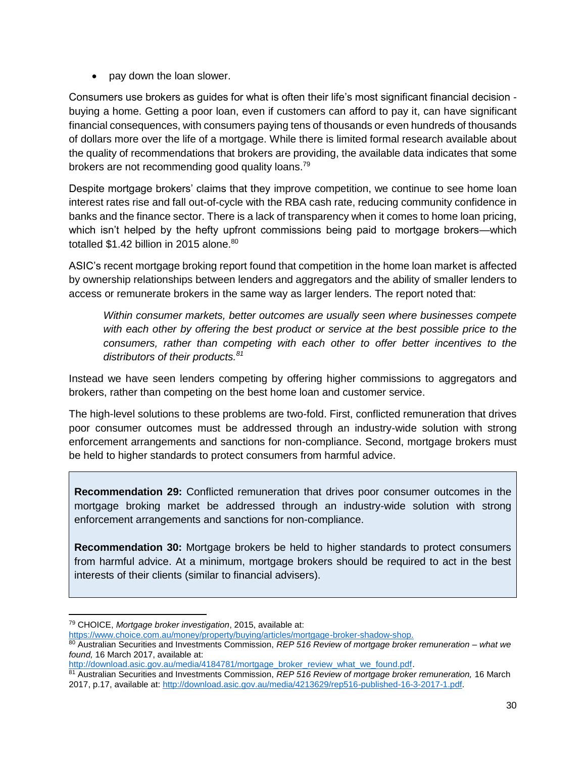• pay down the loan slower.

Consumers use brokers as guides for what is often their life's most significant financial decision buying a home. Getting a poor loan, even if customers can afford to pay it, can have significant financial consequences, with consumers paying tens of thousands or even hundreds of thousands of dollars more over the life of a mortgage. While there is limited formal research available about the quality of recommendations that brokers are providing, the available data indicates that some brokers are not recommending good quality loans.<sup>79</sup>

Despite mortgage brokers' claims that they improve competition, we continue to see home loan interest rates rise and fall out-of-cycle with the RBA cash rate, reducing community confidence in banks and the finance sector. There is a lack of transparency when it comes to home loan pricing, which isn't helped by the hefty upfront commissions being paid to mortgage brokers—which totalled \$1.42 billion in 2015 alone.<sup>80</sup>

ASIC's recent mortgage broking report found that competition in the home loan market is affected by ownership relationships between lenders and aggregators and the ability of smaller lenders to access or remunerate brokers in the same way as larger lenders. The report noted that:

*Within consumer markets, better outcomes are usually seen where businesses compete with each other by offering the best product or service at the best possible price to the consumers, rather than competing with each other to offer better incentives to the distributors of their products.<sup>81</sup>*

Instead we have seen lenders competing by offering higher commissions to aggregators and brokers, rather than competing on the best home loan and customer service.

The high-level solutions to these problems are two-fold. First, conflicted remuneration that drives poor consumer outcomes must be addressed through an industry-wide solution with strong enforcement arrangements and sanctions for non-compliance. Second, mortgage brokers must be held to higher standards to protect consumers from harmful advice.

**Recommendation 29:** Conflicted remuneration that drives poor consumer outcomes in the mortgage broking market be addressed through an industry-wide solution with strong enforcement arrangements and sanctions for non-compliance.

**Recommendation 30:** Mortgage brokers be held to higher standards to protect consumers from harmful advice. At a minimum, mortgage brokers should be required to act in the best interests of their clients (similar to financial advisers).

[https://www.choice.com.au/money/property/buying/articles/mortgage-broker-shadow-shop.](https://www.choice.com.au/money/property/buying/articles/mortgage-broker-shadow-shop)

 $\overline{a}$ <sup>79</sup> CHOICE, *Mortgage broker investigation*, 2015, available at:

<sup>80</sup> Australian Securities and Investments Commission, *REP 516 Review of mortgage broker remuneration – what we found,* 16 March 2017, available at:

[http://download.asic.gov.au/media/4184781/mortgage\\_broker\\_review\\_what\\_we\\_found.pdf.](http://download.asic.gov.au/media/4184781/mortgage_broker_review_what_we_found.pdf)

<sup>81</sup> Australian Securities and Investments Commission, *REP 516 Review of mortgage broker remuneration,* 16 March 2017, p.17, available at: [http://download.asic.gov.au/media/4213629/rep516-published-16-3-2017-1.pdf.](http://download.asic.gov.au/media/4213629/rep516-published-16-3-2017-1.pdf)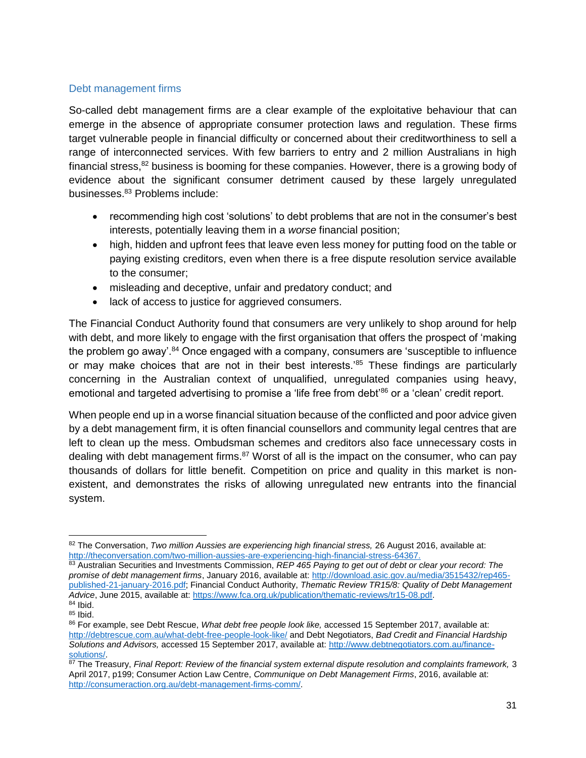### <span id="page-30-0"></span>Debt management firms

So-called debt management firms are a clear example of the exploitative behaviour that can emerge in the absence of appropriate consumer protection laws and regulation. These firms target vulnerable people in financial difficulty or concerned about their creditworthiness to sell a range of interconnected services. With few barriers to entry and 2 million Australians in high financial stress, $82$  business is booming for these companies. However, there is a growing body of evidence about the significant consumer detriment caused by these largely unregulated businesses.<sup>83</sup> Problems include:

- recommending high cost 'solutions' to debt problems that are not in the consumer's best interests, potentially leaving them in a *worse* financial position;
- high, hidden and upfront fees that leave even less money for putting food on the table or paying existing creditors, even when there is a free dispute resolution service available to the consumer;
- misleading and deceptive, unfair and predatory conduct; and
- lack of access to justice for aggrieved consumers.

The Financial Conduct Authority found that consumers are very unlikely to shop around for help with debt, and more likely to engage with the first organisation that offers the prospect of 'making the problem go away'.<sup>84</sup> Once engaged with a company, consumers are 'susceptible to influence or may make choices that are not in their best interests.<sup>85</sup> These findings are particularly concerning in the Australian context of unqualified, unregulated companies using heavy, emotional and targeted advertising to promise a 'life free from debt<sup>'86</sup> or a 'clean' credit report.

When people end up in a worse financial situation because of the conflicted and poor advice given by a debt management firm, it is often financial counsellors and community legal centres that are left to clean up the mess. Ombudsman schemes and creditors also face unnecessary costs in dealing with debt management firms. $87$  Worst of all is the impact on the consumer, who can pay thousands of dollars for little benefit. Competition on price and quality in this market is nonexistent, and demonstrates the risks of allowing unregulated new entrants into the financial system.

 $\overline{a}$ 82 The Conversation, *Two million Aussies are experiencing high financial stress*, 26 August 2016, available at: [http://theconversation.com/two-million-aussies-are-experiencing-high-financial-stress-64367.](http://theconversation.com/two-million-aussies-are-experiencing-high-financial-stress-64367)

<sup>&</sup>lt;sup>83</sup> Australian Securities and Investments Commission, *REP 465 Paying to get out of debt or clear your record: The promise of debt management firms*, January 2016, available at: [http://download.asic.gov.au/media/3515432/rep465](http://download.asic.gov.au/media/3515432/rep465-published-21-january-2016.pdf) [published-21-january-2016.pdf;](http://download.asic.gov.au/media/3515432/rep465-published-21-january-2016.pdf) Financial Conduct Authority, *Thematic Review TR15/8: Quality of Debt Management Advice*, June 2015, available at: [https://www.fca.org.uk/publication/thematic-reviews/tr15-08.pdf.](https://www.fca.org.uk/publication/thematic-reviews/tr15-08.pdf) <sup>84</sup> Ibid.

 $85$  Ibid.

<sup>86</sup> For example, see Debt Rescue, *What debt free people look like,* accessed 15 September 2017, available at: <http://debtrescue.com.au/what-debt-free-people-look-like/> and Debt Negotiators, *Bad Credit and Financial Hardship Solutions and Advisors,* accessed 15 September 2017, available at[: http://www.debtnegotiators.com.au/finance](http://www.debtnegotiators.com.au/finance-solutions/)[solutions/.](http://www.debtnegotiators.com.au/finance-solutions/)

<sup>87</sup> The Treasury, *Final Report: Review of the financial system external dispute resolution and complaints framework*, 3 April 2017, p199; Consumer Action Law Centre, *Communique on Debt Management Firms*, 2016, available at: [http://consumeraction.org.au/debt-management-firms-comm/.](http://consumeraction.org.au/debt-management-firms-comm/)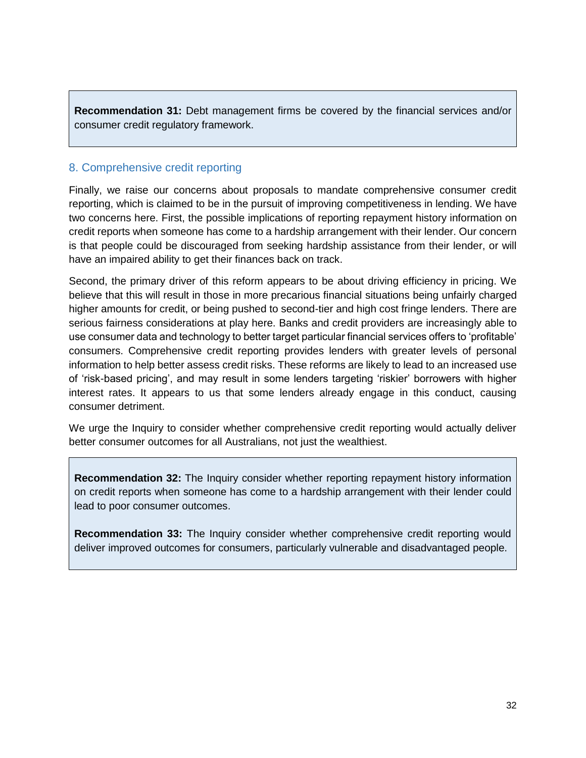**Recommendation 31:** Debt management firms be covered by the financial services and/or consumer credit regulatory framework.

# <span id="page-31-0"></span>8. Comprehensive credit reporting

Finally, we raise our concerns about proposals to mandate comprehensive consumer credit reporting, which is claimed to be in the pursuit of improving competitiveness in lending. We have two concerns here. First, the possible implications of reporting repayment history information on credit reports when someone has come to a hardship arrangement with their lender. Our concern is that people could be discouraged from seeking hardship assistance from their lender, or will have an impaired ability to get their finances back on track.

Second, the primary driver of this reform appears to be about driving efficiency in pricing. We believe that this will result in those in more precarious financial situations being unfairly charged higher amounts for credit, or being pushed to second-tier and high cost fringe lenders. There are serious fairness considerations at play here. Banks and credit providers are increasingly able to use consumer data and technology to better target particular financial services offers to 'profitable' consumers. Comprehensive credit reporting provides lenders with greater levels of personal information to help better assess credit risks. These reforms are likely to lead to an increased use of 'risk-based pricing', and may result in some lenders targeting 'riskier' borrowers with higher interest rates. It appears to us that some lenders already engage in this conduct, causing consumer detriment.

We urge the Inquiry to consider whether comprehensive credit reporting would actually deliver better consumer outcomes for all Australians, not just the wealthiest.

**Recommendation 32:** The Inquiry consider whether reporting repayment history information on credit reports when someone has come to a hardship arrangement with their lender could lead to poor consumer outcomes.

**Recommendation 33:** The Inquiry consider whether comprehensive credit reporting would deliver improved outcomes for consumers, particularly vulnerable and disadvantaged people.